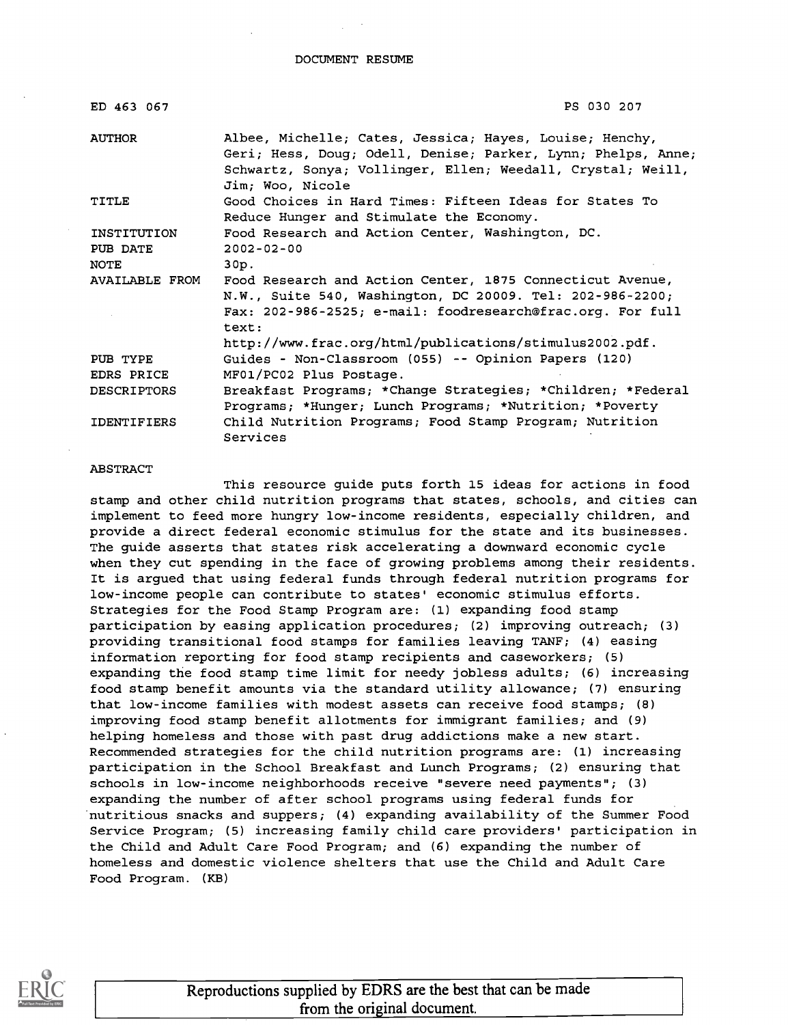DOCUMENT RESUME

| ED 463 067         | PS 030 207                                                                                                                                                                                                 |
|--------------------|------------------------------------------------------------------------------------------------------------------------------------------------------------------------------------------------------------|
| <b>AUTHOR</b>      | Albee, Michelle; Cates, Jessica; Hayes, Louise; Henchy,<br>Geri; Hess, Doug; Odell, Denise; Parker, Lynn; Phelps, Anne;<br>Schwartz, Sonya; Vollinger, Ellen; Weedall, Crystal; Weill,<br>Jim; Woo, Nicole |
| TITLE              | Good Choices in Hard Times: Fifteen Ideas for States To<br>Reduce Hunger and Stimulate the Economy.                                                                                                        |
| INSTITUTION        | Food Research and Action Center, Washington, DC.                                                                                                                                                           |
| PUB DATE           | $2002 - 02 - 00$                                                                                                                                                                                           |
| NOTE               | 30p.                                                                                                                                                                                                       |
| AVAILABLE FROM     | Food Research and Action Center, 1875 Connecticut Avenue,<br>N.W., Suite 540, Washington, DC 20009. Tel: 202-986-2200;<br>Fax: 202-986-2525; e-mail: foodresearch@frac.org. For full<br>text:              |
|                    | http://www.frac.org/html/publications/stimulus2002.pdf.                                                                                                                                                    |
| PUB TYPE           | Guides - Non-Classroom (055) -- Opinion Papers (120)                                                                                                                                                       |
| EDRS PRICE         | MF01/PC02 Plus Postage.                                                                                                                                                                                    |
| <b>DESCRIPTORS</b> | Breakfast Programs; *Change Strategies; *Children; *Federal<br>Programs; *Hunger; Lunch Programs; *Nutrition; *Poverty                                                                                     |
| <b>IDENTIFIERS</b> | Child Nutrition Programs; Food Stamp Program; Nutrition<br>Services                                                                                                                                        |

#### ABSTRACT

This resource guide puts forth 15 ideas for actions in food stamp and other child nutrition programs that states, schools, and cities can implement to feed more hungry low-income residents, especially children, and provide a direct federal economic stimulus for the state and its businesses. The guide asserts that states risk accelerating a downward economic cycle when they cut spending in the face of growing problems among their residents. It is argued that using federal funds through federal nutrition programs for low-income people can contribute to states' economic stimulus efforts. Strategies for the Food Stamp Program are: (1) expanding food stamp participation by easing application procedures; (2) improving outreach; (3) providing transitional food stamps for families leaving TANF; (4) easing information reporting for food stamp recipients and caseworkers; (5) expanding the food stamp time limit for needy jobless adults; (6) increasing food stamp benefit amounts via the standard utility allowance; (7) ensuring that low-income families with modest assets can receive food stamps; (8) improving food stamp benefit allotments for immigrant families; and (9) helping homeless and those with past drug addictions make a new start. Recommended strategies for the child nutrition programs are: (1) increasing participation in the School Breakfast and Lunch Programs; (2) ensuring that schools in low-income neighborhoods receive "severe need payments"; (3) expanding the number of after school programs using federal funds for nutritious snacks and suppers; (4) expanding availability of the Summer Food Service Program; (5) increasing family child care providers' participation in the Child and Adult Care Food Program; and (6) expanding the number of homeless and domestic violence shelters that use the Child and Adult Care Food Program. (KB)



Reproductions supplied by EDRS are the best that can be made from the original document.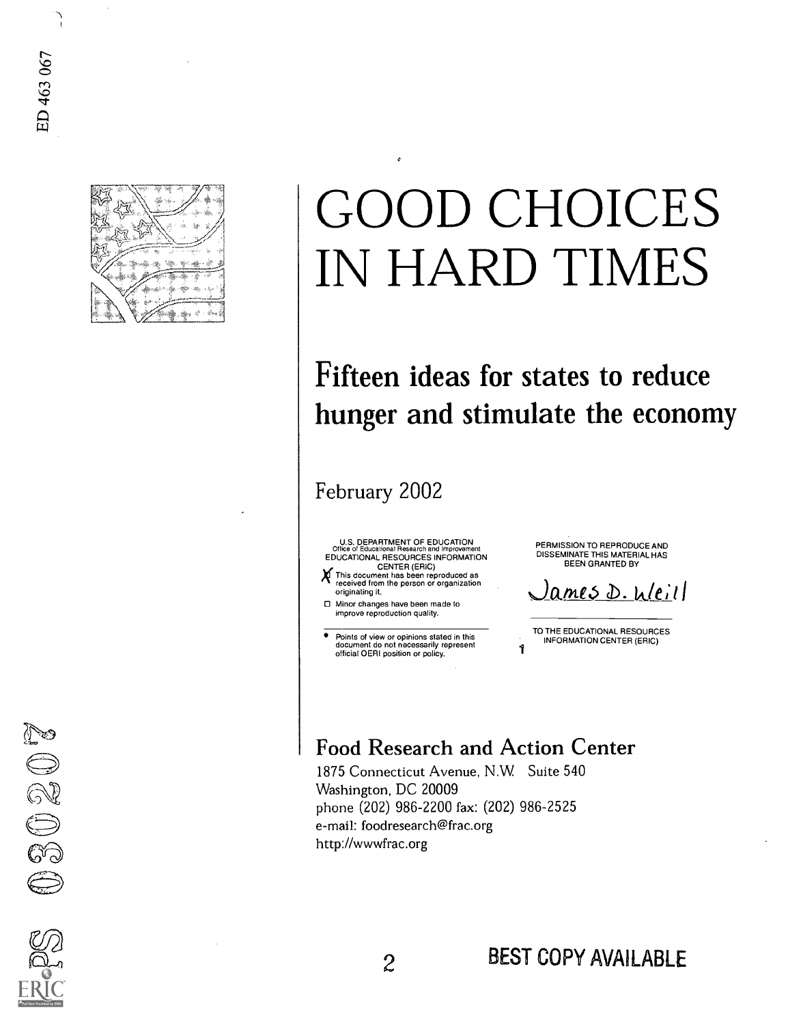

# GOOD CHOICES IN HARD TIMES

## Fifteen ideas for states to reduce hunger and stimulate the economy

1

February 2002

U.S. DEPARTMENT OF EDUCATION Office of Educational Research and Improvement EDUCATIONAL RESOURCES INFORMATION

CENTER (ERIC) gThis document has been reproduced as received from the person or organization originating it.

0 Minor changes have been made to improve reproduction quality.

Points of view or opinions stated in this document do not necessarily represent official OERI position or policy.

PERMISSION TO REPRODUCE AND DISSEMINATE THIS MATERIAL HAS BEEN GRANTED BY

ames D. Weill

TO THE EDUCATIONAL RESOURCES INFORMATION CENTER (ERIC)

### Food Research and Action Center

1875 Connecticut Avenue, N.W Suite 540 Washington, DC 20009 phone (202) 986-2200 fax: (202) 986-2525 e-mail: foodresearch@frac.org http://wwwfrac.org

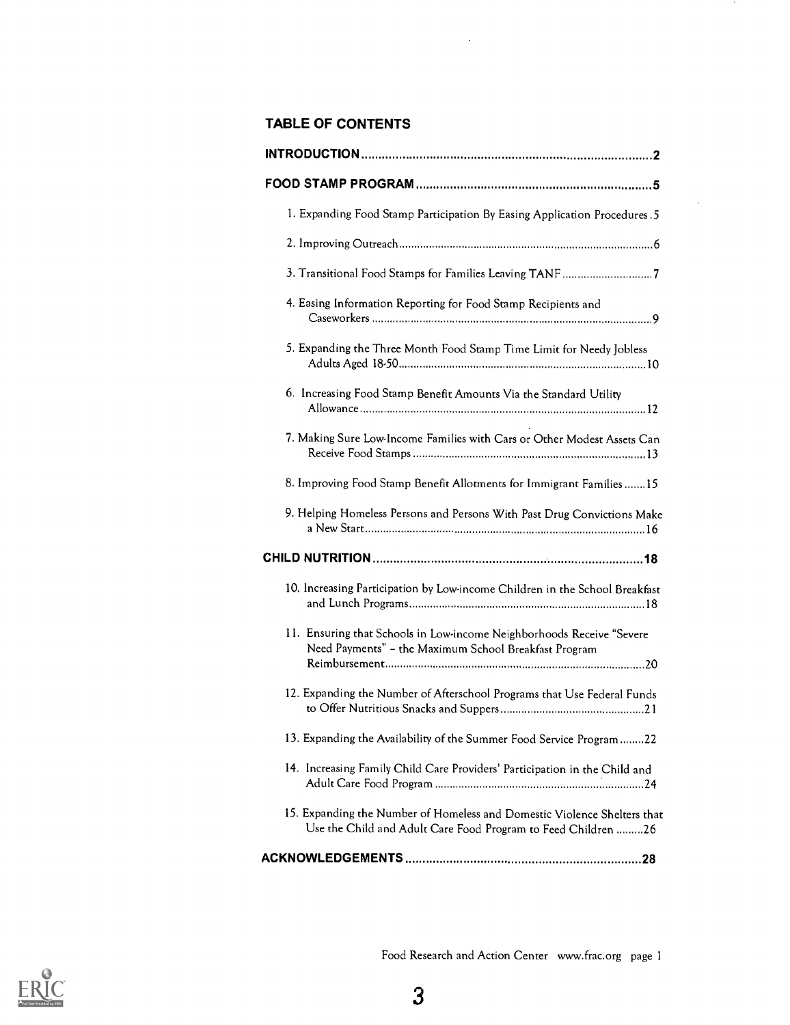#### TABLE OF CONTENTS

| 1. Expanding Food Stamp Participation By Easing Application Procedures. 5                                                                 |  |
|-------------------------------------------------------------------------------------------------------------------------------------------|--|
|                                                                                                                                           |  |
| 3. Transitional Food Stamps for Families Leaving TANF7                                                                                    |  |
| 4. Easing Information Reporting for Food Stamp Recipients and                                                                             |  |
| 5. Expanding the Three Month Food Stamp Time Limit for Needy Jobless                                                                      |  |
| 6. Increasing Food Stamp Benefit Amounts Via the Standard Utility                                                                         |  |
| 7. Making Sure Low-Income Families with Cars or Other Modest Assets Can                                                                   |  |
| 8. Improving Food Stamp Benefit Allotments for Immigrant Families15                                                                       |  |
| 9. Helping Homeless Persons and Persons With Past Drug Convictions Make                                                                   |  |
|                                                                                                                                           |  |
| 10. Increasing Participation by Low-income Children in the School Breakfast                                                               |  |
| 11. Ensuring that Schools in Low-income Neighborhoods Receive "Severe<br>Need Payments" - the Maximum School Breakfast Program            |  |
| 12. Expanding the Number of Afterschool Programs that Use Federal Funds                                                                   |  |
| 13. Expanding the Availability of the Summer Food Service Program22                                                                       |  |
| 14. Increasing Family Child Care Providers' Participation in the Child and                                                                |  |
| 15. Expanding the Number of Homeless and Domestic Violence Shelters that<br>Use the Child and Adult Care Food Program to Feed Children 26 |  |
|                                                                                                                                           |  |

 $\sim$ 

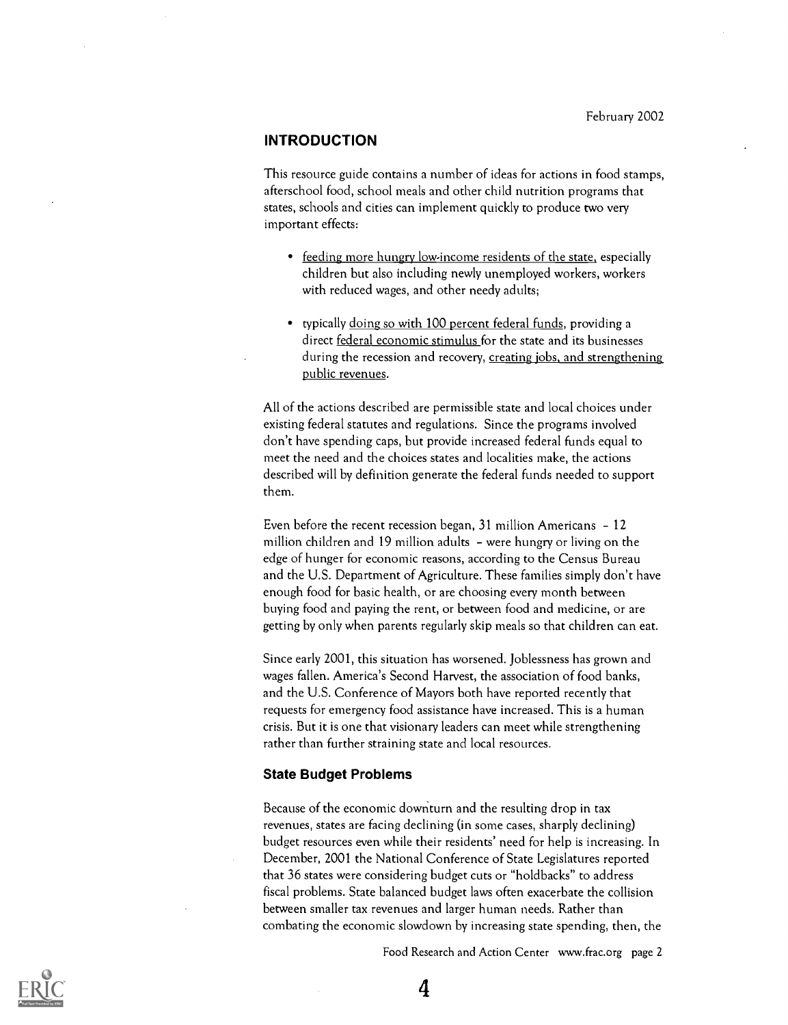#### INTRODUCTION

This resource guide contains a number of ideas for actions in food stamps, afterschool food, school meals and other child nutrition programs that states, schools and cities can implement quickly to produce two very important effects:

- feeding more hungry low-income residents of the state, especially children but also including newly unemployed workers, workers with reduced wages, and other needy adults;
- typically doing so with 100 percent federal funds, providing a direct federal economic stimulus for the state and its businesses during the recession and recovery, creating jobs, and strengthening public revenues.

All of the actions described are permissible state and local choices under existing federal statutes and regulations. Since the programs involved don't have spending caps, but provide increased federal funds equal to meet the need and the choices states and localities make, the actions described will by definition generate the federal funds needed to support them.

Even before the recent recession began, 31 million Americans - 12 million children and 19 million adults  $-$  were hungry or living on the edge of hunger for economic reasons, according to the Census Bureau and the U.S. Department of Agriculture. These families simply don't have enough food for basic health, or are choosing every month between buying food and paying the rent, or between food and medicine, or are getting by only when parents regularly skip meals so that children can eat.

Since early 2001, this situation has worsened. Joblessness has grown and wages fallen. America's Second Harvest, the association of food banks, and the U.S. Conference of Mayors both have reported recently that requests for emergency food assistance have increased. This is a human crisis. But it is one that visionary leaders can meet while strengthening rather than further straining state and local resources.

#### State Budget Problems

Because of the economic downturn and the resulting drop in tax revenues, states are facing declining (in some cases, sharply declining) budget resources even while their residents' need for help is increasing. In December, 2001 the National Conference of State Legislatures reported that 36 states were considering budget cuts or "holdbacks" to address fiscal problems. State balanced budget laws often exacerbate the collision between smaller tax revenues and larger human needs. Rather than combating the economic slowdown by increasing state spending, then, the

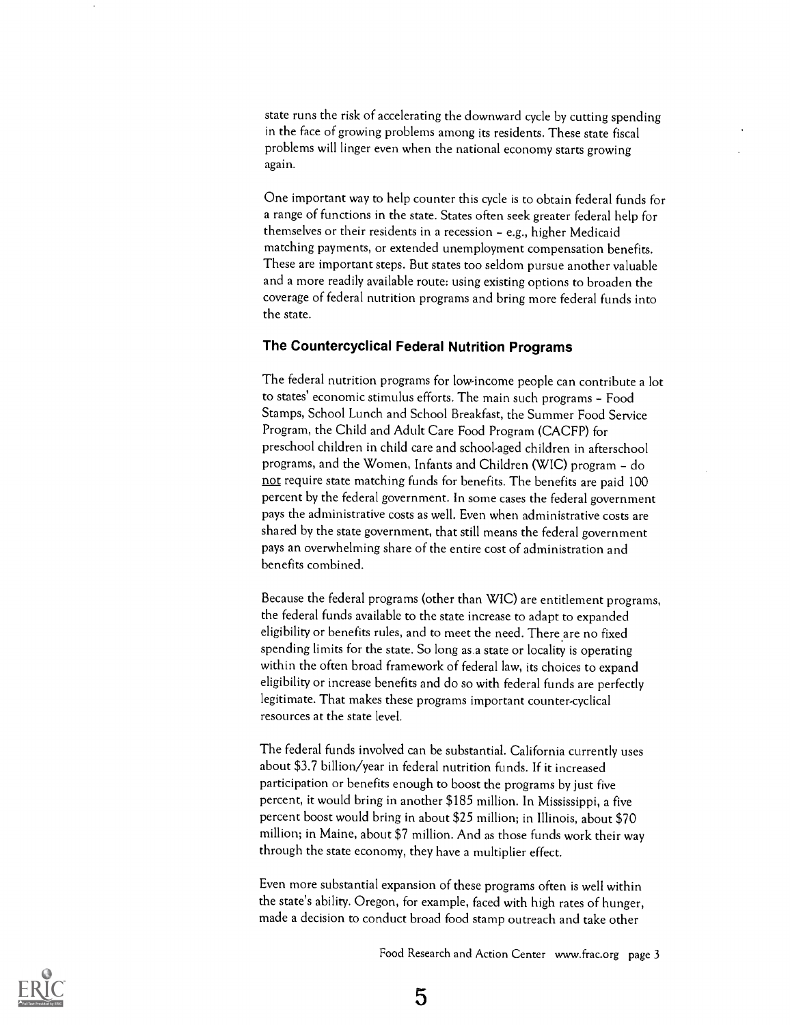state runs the risk of accelerating the downward cycle by cutting spending in the face of growing problems among its residents. These state fiscal problems will linger even when the national economy starts growing again.

One important way to help counter this cycle is to obtain federal funds for a range of functions in the state. States often seek greater federal help for themselves or their residents in a recession - e.g., higher Medicaid matching payments, or extended unemployment compensation benefits. These are important steps. But states too seldom pursue another valuable and a more readily available route: using existing options to broaden the coverage of federal nutrition programs and bring more federal funds into the state.

#### The Countercyclical Federal Nutrition Programs

The federal nutrition programs for low-income people can contribute a lot to states' economic stimulus efforts. The main such programs - Food Stamps, School Lunch and School Breakfast, the Summer Food Service Program, the Child and Adult Care Food Program (CACFP) for preschool children in child care and school-aged children in afterschool programs, and the Women, Infants and Children (WIC) program - do not require state matching funds for benefits. The benefits are paid 100 percent by the federal government. In some cases the federal government pays the administrative costs as well. Even when administrative costs are shared by the state government, that still means the federal government pays an overwhelming share of the entire cost of administration and benefits combined.

Because the federal programs (other than WIC) are entitlement programs, the federal funds available to the state increase to adapt to expanded eligibility or benefits rules, and to meet the need. There are no fixed spending limits for the state. So long as a state or locality is operating within the often broad framework of federal law, its choices to expand eligibility or increase benefits and do so with federal funds are perfectly legitimate. That makes these programs important counter-cyclical resources at the state level.

The federal funds involved can be substantial. California currently uses about \$3.7 billion/year in federal nutrition funds. If it increased participation or benefits enough to boost the programs by just five percent, it would bring in another \$185 million. In Mississippi, a five percent boost would bring in about \$25 million; in Illinois, about \$70 million; in Maine, about \$7 million. And as those funds work their way through the state economy, they have a multiplier effect.

Even more substantial expansion of these programs often is well within the state's ability. Oregon, for example, faced with high rates of hunger, made a decision to conduct broad food stamp outreach and take other

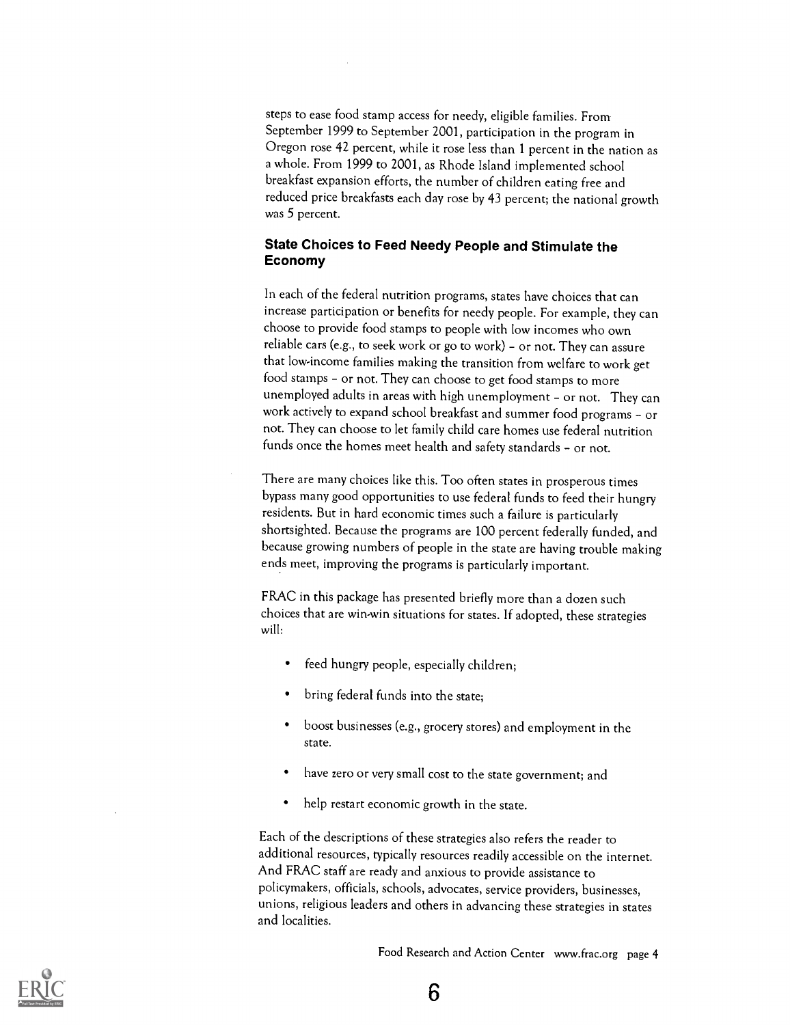steps to ease food stamp access for needy, eligible families. From September 1999 to September 2001, participation in the program in Oregon rose 42 percent, while it rose less than 1 percent in the nation as a whole. From 1999 to 2001, as Rhode Island implemented school breakfast expansion efforts, the number of children eating free and reduced price breakfasts each day rose by 43 percent; the national growth was 5 percent.

#### State Choices to Feed Needy People and Stimulate the Economy

In each of the federal nutrition programs, states have choices that can increase participation or benefits for needy people. For example, they can choose to provide food stamps to people with low incomes who own reliable cars (e.g., to seek work or go to work) - or not. They can assure that low-income families making the transition from welfare to work get food stamps - or not. They can choose to get food stamps to more unemployed adults in areas with high unemployment - or not. They can work actively to expand school breakfast and summer food programs - or not. They can choose to let family child care homes use federal nutrition funds once the homes meet health and safety standards - or not.

There are many choices like this. Too often states in prosperous times bypass many good opportunities to use federal funds to feed their hungry residents. But in hard economic times such a failure is particularly shortsighted. Because the programs are 100 percent federally funded, and because growing numbers of people in the state are having trouble making ends meet, improving the programs is particularly important.

FRAC in this package has presented briefly more than a dozen such choices that are win-win situations for states. If adopted, these strategies will:

- feed hungry people, especially children;
- bring federal funds into the state;
- boost businesses (e.g., grocery stores) and employment in the state.
- have zero or very small cost to the state government; and
- help restart economic growth in the state.

Each of the descriptions of these strategies also refers the reader to additional resources, typically resources readily accessible on the internet. And FRAC staff are ready and anxious to provide assistance to policymakers, officials, schools, advocates, service providers, businesses, unions, religious leaders and others in advancing these strategies in states and localities.

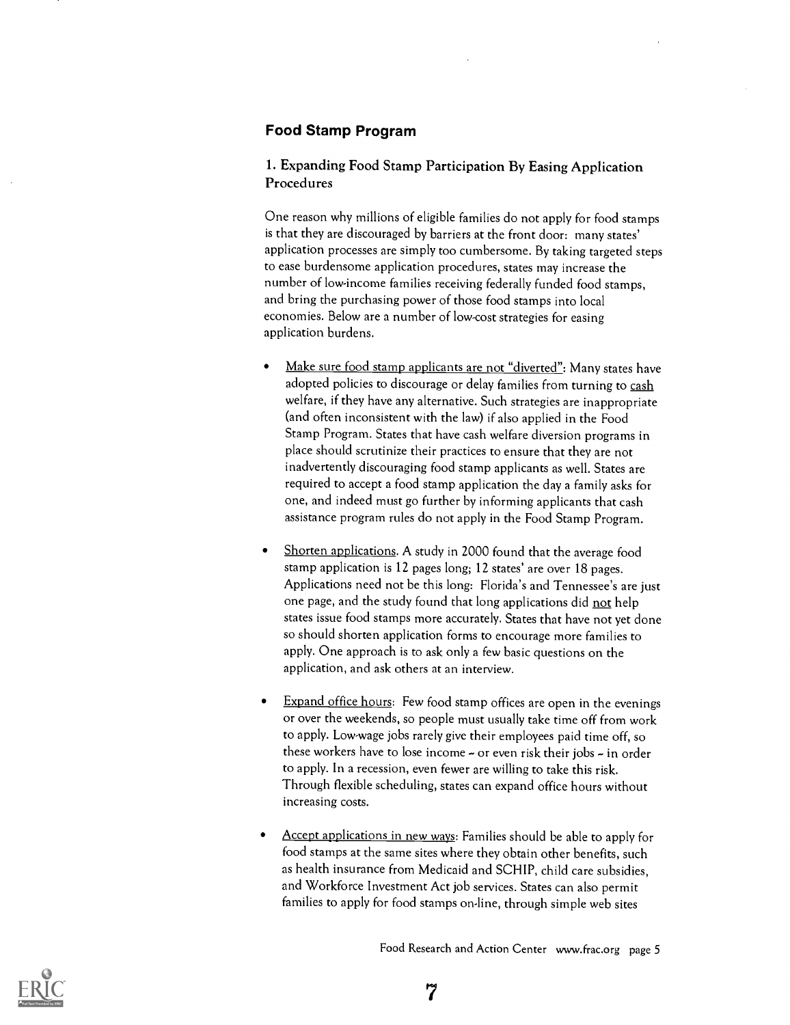#### Food Stamp Program

#### 1. Expanding Food Stamp Participation By Easing Application Procedures

One reason why millions of eligible families do not apply for food stamps is that they are discouraged by barriers at the front door: many states' application processes are simply too cumbersome. By taking targeted steps to ease burdensome application procedures, states may increase the number of low-income families receiving federally funded food stamps, and bring the purchasing power of those food stamps into local economies. Below are a number of low-cost strategies for easing application burdens.

- Make sure food stamp applicants are not "diverted": Many states have adopted policies to discourage or delay families from turning to cash welfare, if they have any alternative. Such strategies are inappropriate (and often inconsistent with the law) if also applied in the Food Stamp Program. States that have cash welfare diversion programs in place should scrutinize their practices to ensure that they are not inadvertently discouraging food stamp applicants as well. States are required to accept a food stamp application the day a family asks for one, and indeed must go further by informing applicants that cash assistance program rules do not apply in the Food Stamp Program.
- Shorten applications. A study in 2000 found that the average food stamp application is 12 pages long; 12 states' are over 18 pages. Applications need not be this long: Florida's and Tennessee's are just one page, and the study found that long applications did not help states issue food stamps more accurately. States that have not yet done so should shorten application forms to encourage more families to apply. One approach is to ask only a few basic questions on the application, and ask others at an interview.
- Expand office hours: Few food stamp offices are open in the evenings or over the weekends, so people must usually take time off from work to apply. Low-wage jobs rarely give their employees paid time off, so these workers have to lose income  $\sim$  or even risk their jobs  $\sim$  in order to apply. In a recession, even fewer are willing to take this risk. Through flexible scheduling, states can expand office hours without increasing costs.
- Accept applications in new ways: Families should be able to apply for food stamps at the same sites where they obtain other benefits, such as health insurance from Medicaid and SCHIP, child care subsidies, and Workforce Investment Act job services. States can also permit families to apply for food stamps on-line, through simple web sites



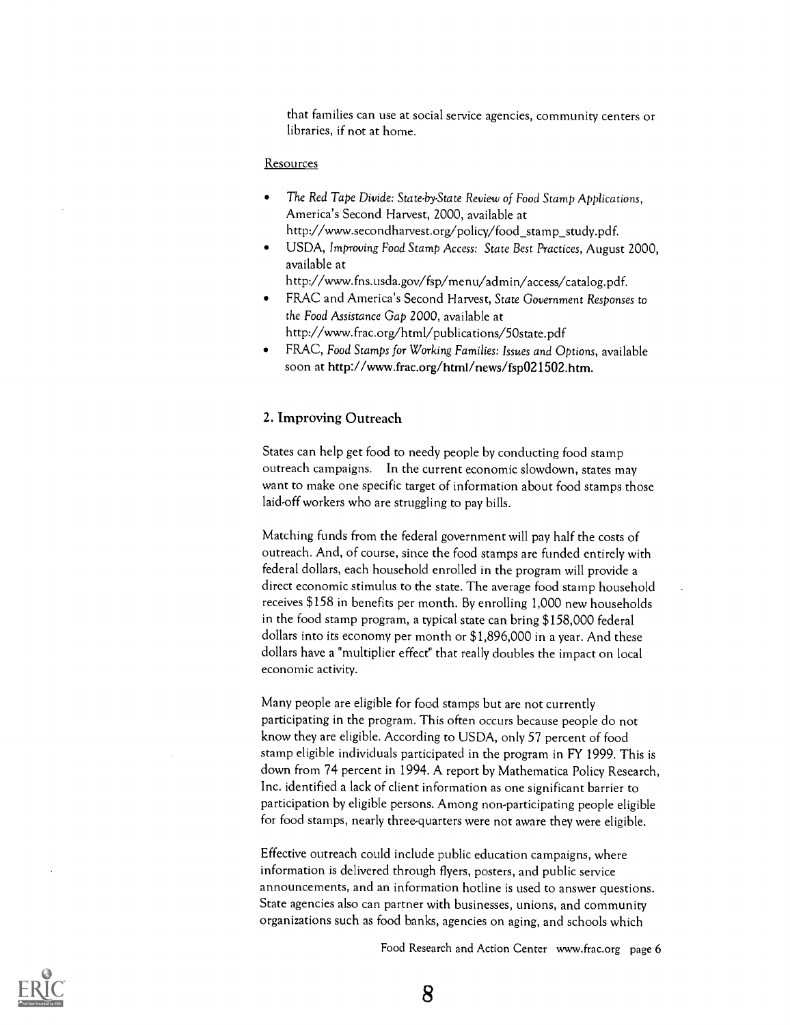that families can use at social service agencies, community centers or libraries, if not at home.

#### **Resources**

- The Red Tape Divide: State-by-State Review of Food Stamp Applications, America's Second Harvest, 2000, available at http://www.secondharvest.org/policy/food\_stamp\_study.pdf.
- USDA, Improving Food Stamp Access: State Best Practices, August 2000, available at

http://www.fns.usda.gov/fsp/menu/admin/access/catalog.pdf.

- FRAC and America's Second Harvest, State Government Responses to the Food Assistance Gap 2000, available at http://www.frac.org/html/publications/50state.pdf
- FRAC, Food Stamps for Working Families: Issues and Options, available soon at http://www.frac.org/html/news/fsp021502.htm.

#### 2. Improving Outreach

States can help get food to needy people by conducting food stamp outreach campaigns. In the current economic slowdown, states may want to make one specific target of information about food stamps those laid-off workers who are struggling to pay bills.

Matching funds from the federal government will pay half the costs of outreach. And, of course, since the food stamps are funded entirely with federal dollars, each household enrolled in the program will provide adirect economic stimulus to the state. The average food stamp household receives \$158 in benefits per month. By enrolling 1,000 new households in the food stamp program, a typical state can bring \$158,000 federal dollars into its economy per month or \$1,896,000 in a year. And these dollars have a "multiplier effect" that really doubles the impact on local economic activity.

Many people are eligible for food stamps but are not currently participating in the program. This often occurs because people do not know they are eligible. According to USDA, only 57 percent of food stamp eligible individuals participated in the program in FY 1999. This is down from 74 percent in 1994. A report by Mathematica Policy Research, Inc. identified a lack of client information as one significant barrier to participation by eligible persons. Among non-participating people eligible for food stamps, nearly three-quarters were not aware they were eligible.

Effective outreach could include public education campaigns, where information is delivered through flyers, posters, and public service announcements, and an information hotline is used to answer questions. State agencies also can partner with businesses, unions, and community organizations such as food banks, agencies on aging, and schools which

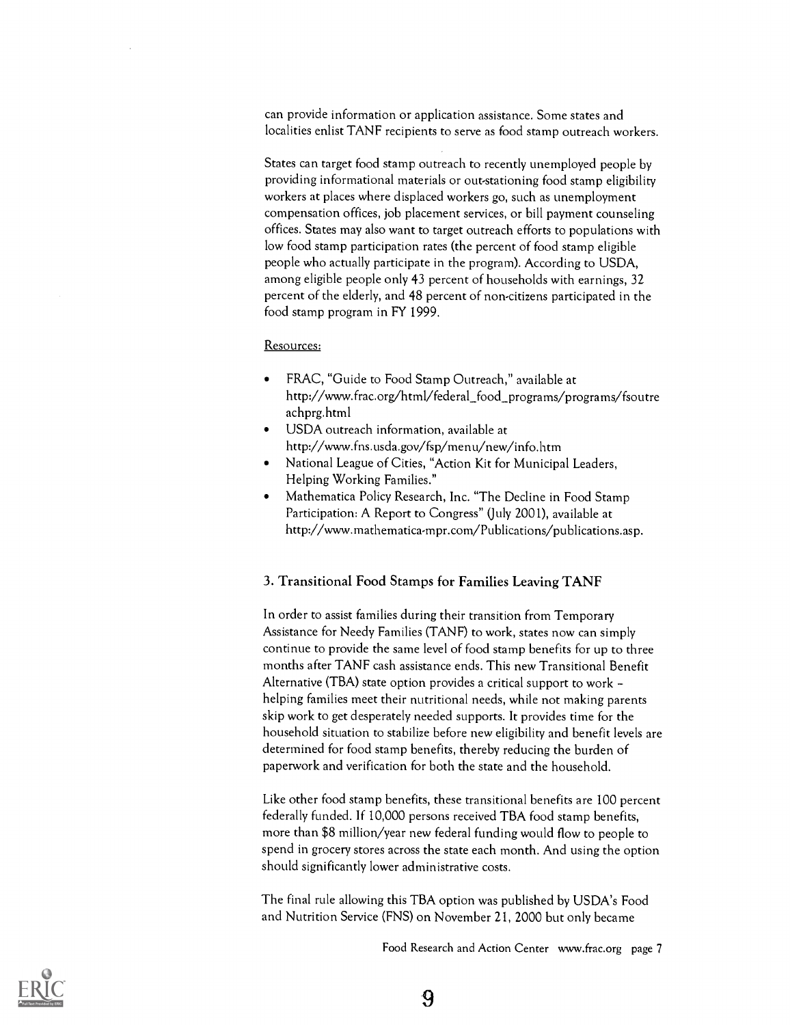can provide information or application assistance. Some states and localities enlist TANF recipients to serve as food stamp outreach workers.

States can target food stamp outreach to recently unemployed people by providing informational materials or out-stationing food stamp eligibility workers at places where displaced workers go, such as unemployment compensation offices, job placement services, or bill payment counseling offices. States may also want to target outreach efforts to populations with low food stamp participation rates (the percent of food stamp eligible people who actually participate in the program). According to USDA, among eligible people only 43 percent of households with earnings, 32 percent of the elderly, and 48 percent of non-citizens participated in the food stamp program in FY 1999.

#### Resources:

- FRAC, "Guide to Food Stamp Outreach," available at http://www.frac.org/html/federal food\_programs/programs/fsoutre achprg.html
- USDA outreach information, available at http://www.fns.usda.gov/fsp/menu/new/info.htm
- National League of Cities, "Action Kit for Municipal Leaders, Helping Working Families."
- Mathematica Policy Research, Inc. "The Decline in Food Stamp Participation: A Report to Congress" (July 2001), available at http://www.mathematica-mpr.com/Publications/publications.asp.

#### 3. Transitional Food Stamps for Families Leaving TANF

In order to assist families during their transition from Temporary Assistance for Needy Families (TANF) to work, states now can simply continue to provide the same level of food stamp benefits for up to three months after TANF cash assistance ends. This new Transitional Benefit Alternative (TBA) state option provides a critical support to work helping families meet their nutritional needs, while not making parents skip work to get desperately needed supports. It provides time for the household situation to stabilize before new eligibility and benefit levels are determined for food stamp benefits, thereby reducing the burden of paperwork and verification for both the state and the household.

Like other food stamp benefits, these transitional benefits are 100 percent federally funded. If 10,000 persons received TBA food stamp benefits, more than \$8 million/year new federal funding would flow to people to spend in grocery stores across the state each month. And using the option should significantly lower administrative costs.

The final rule allowing this TBA option was published by USDA's Food and Nutrition Service (FNS) on November 21, 2000 but only became

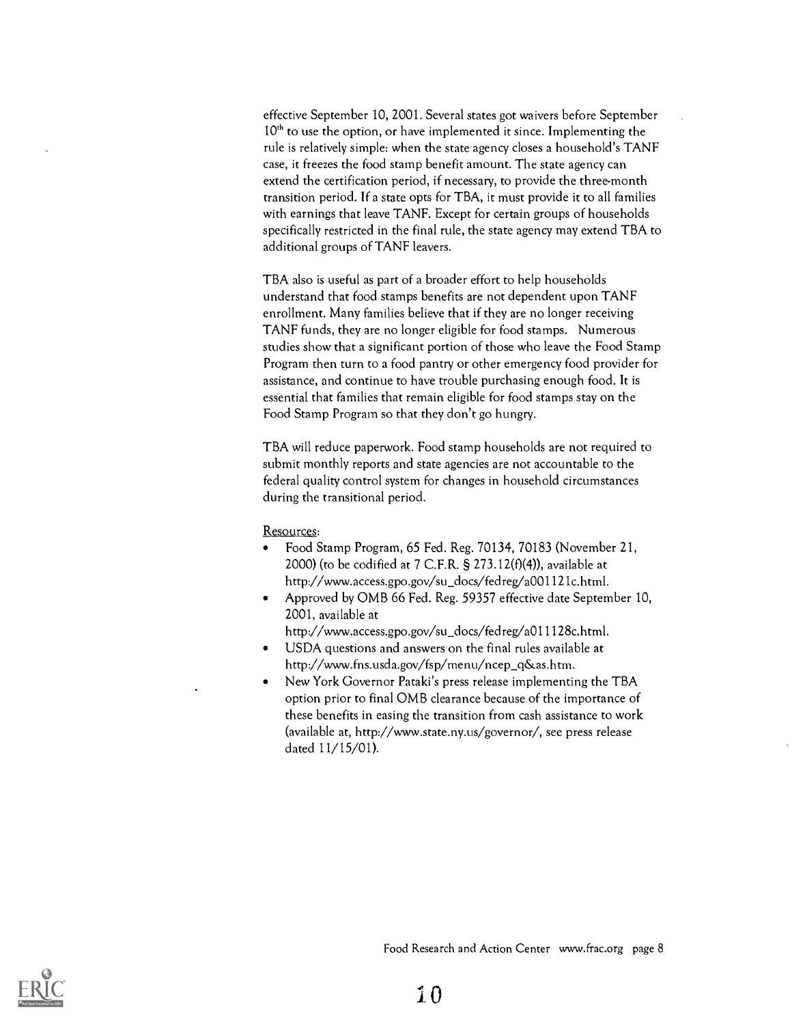effective September 10, 2001. Several states got waivers before September  $10<sup>th</sup>$  to use the option, or have implemented it since. Implementing the rule is relatively simple: when the state agency closes a household's TANF case, it freezes the food stamp benefit amount. The state agency can extend the certification period, if necessary, to provide the three-month transition period. If a state opts for TBA, it must provide it to all families with earnings that leave TANF. Except for certain groups of households specifically restricted in the final rule, the state agency may extend TBA to additional groups of TANF leavers.

TBA also is useful as part of a broader effort to help households understand that food stamps benefits are not dependent upon TANF enrollment. Many families believe that if they are no longer receiving TANF funds, they are no longer eligible for food stamps. Numerous studies show that a significant portion of those who leave the Food Stamp Program then turn to a food pantry or other emergency food provider for assistance, and continue to have trouble purchasing enough food. It is essential that families that remain eligible for food stamps stay on the Food Stamp Program so that they don't go hungry.

TBA will reduce paperwork. Food stamp households are not required to submit monthly reports and state agencies are not accountable to the federal quality control system for changes in household circumstances during the transitional period.

#### Resources:

- Food Stamp Program, 65 Fed. Reg. 70134, 70183 (November 21, 2000) (to be codified at  $7$  C.F.R. § 273.12( $f$ )(4)), available at http://www.access.gpo.gov/su\_docs/fedreg/a001121c.html.
- Approved by OMB 66 Fed. Reg. 59357 effective date September 10, 2001, available at
	- http://www.access.gpo.gov/su\_docs/fedreg/a011128c.html.
- USDA questions and answers on the final rules available at http://www.fns.usda.gov/fsp/menu/ncep\_q&as.htm.
- New York Governor Pataki's press release implementing the TBA option prior to final OMB clearance because of the importance of these benefits in easing the transition from cash assistance to work (available at, http://www.state.ny.us/governor/, sec press release dated 11/15/01).

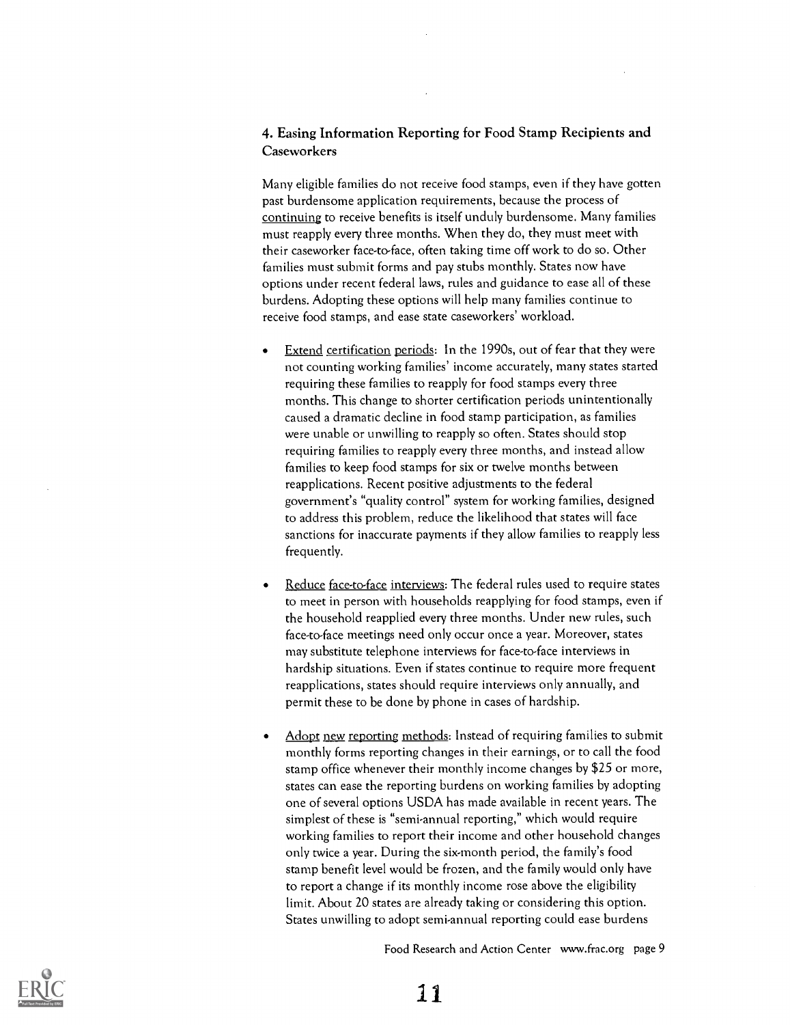#### 4. Easing Information Reporting for Food Stamp Recipients and **Caseworkers**

Many eligible families do not receive food stamps, even if they have gotten past burdensome application requirements, because the process of continuing to receive benefits is itself unduly burdensome. Many families must reapply every three months. When they do, they must meet with their caseworker face-to-face, often taking time off work to do so. Other families must submit forms and pay stubs monthly. States now have options under recent federal laws, rules and guidance to ease all of these burdens. Adopting these options will help many families continue to receive food stamps, and ease state caseworkers' workload.

- Extend certification periods: In the 1990s, out of fear that they were not counting working families' income accurately, many states started requiring these families to reapply for food stamps every three months. This change to shorter certification periods unintentionally caused a dramatic decline in food stamp participation, as families were unable or unwilling to reapply so often. States should stop requiring families to reapply every three months, and instead allow families to keep food stamps for six or twelve months between reapplications. Recent positive adjustments to the federal government's "quality control" system for working families, designed to address this problem, reduce the likelihood that states will face sanctions for inaccurate payments if they allow families to reapply less frequently.
- Reduce face-to-face interviews: The federal rules used to require states to meet in person with households reapplying for food stamps, even if the household reapplied every three months. Under new rules, such face-to-face meetings need only occur once a year. Moreover, states may substitute telephone interviews for face-to-face interviews in hardship situations. Even if states continue to require more frequent reapplications, states should require interviews only annually, and permit these to be done by phone in cases of hardship.
- Adopt new reporting methods: Instead of requiring families to submit  $\bullet$ monthly forms reporting changes in their earnings, or to call the food stamp office whenever their monthly income changes by \$25 or more, states can ease the reporting burdens on working families by adopting one of several options USDA has made available in recent years. The simplest of these is "semi-annual reporting," which would require working families to report their income and other household changes only twice a year. During the six-month period, the family's food stamp benefit level would be frozen, and the family would only have to report a change if its monthly income rose above the eligibility limit. About 20 states are already taking or considering this option. States unwilling to adopt semi-annual reporting could ease burdens



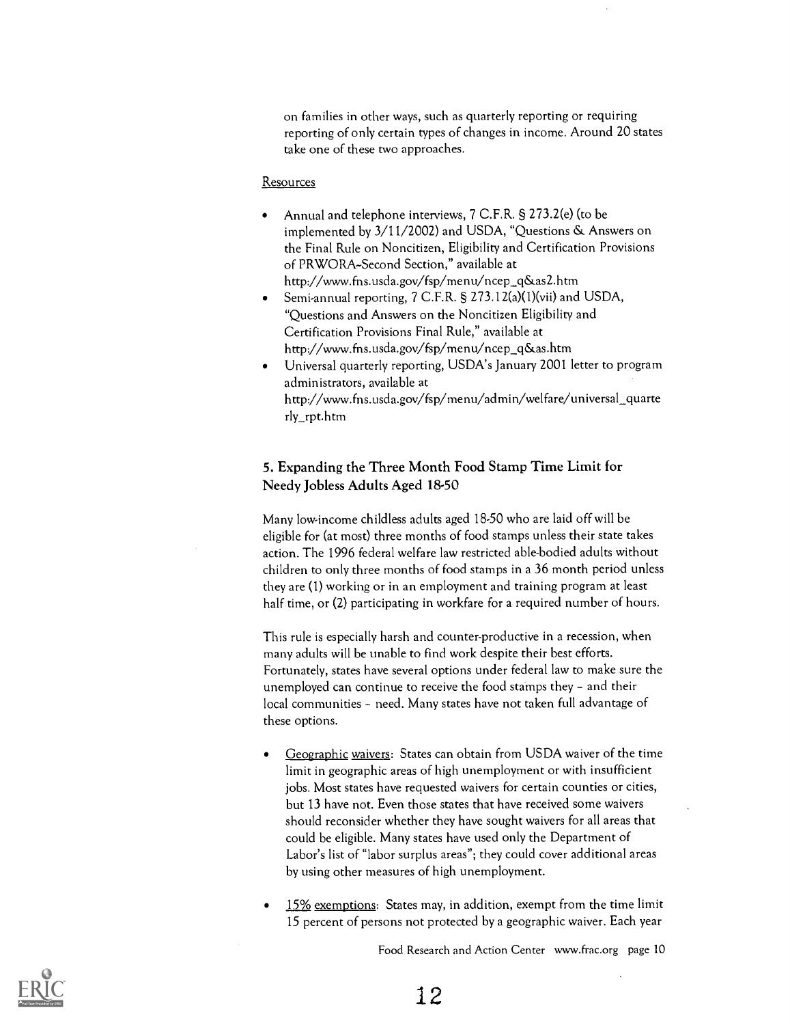on families in other ways, such as quarterly reporting or requiring reporting of only certain types of changes in income. Around 20 states take one of these two approaches.

#### Resources

- Annual and telephone interviews, 7 C.F.R. § 273.2(e) (to be implemented by 3/11/2002) and USDA, "Questions & Answers on the Final Rule on Noncitizen, Eligibility and Certification Provisions of PRWORA-Second Section," available at http://www.fns.usda.gov/fsp/menu/ncep\_q&as2.htm
- Semi-annual reporting, 7 C.F.R. § 273.12(a)(1)(vii) and USDA, "Questions and Answers on the Noncitizen Eligibility and Certification Provisions Final Rule," available at http://www.fns.usda.gov/fsp/menu/ncep\_q&as.htrn
- Universal quarterly reporting, USDA's January 2001 letter to program administrators, available at http://www.fns.usda.gov/fsp/menu/admin/welfare/universal\_quarte rly\_rpt.htm

#### 5. Expanding the Three Month Food Stamp Time Limit for Needy Jobless Adults Aged 18-50

Many low-income childless adults aged 18-50 who are laid off will be eligible for (at most) three months of food stamps unless their state takes action. The 1996 federal welfare law restricted able-bodied adults without children to only three months of food stamps in a 36 month period unless they are (1) working or in an employment and training program at least half time, or (2) participating in workfare for a required number of hours.

This rule is especially harsh and counter-productive in a recession, when many adults will be unable to find work despite their best efforts. Fortunately, states have several options under federal law to make sure the unemployed can continue to receive the food stamps they - and their local communities - need. Many states have not taken full advantage of these options.

- Geographic waivers: States can obtain from USDA waiver of the time limit in geographic areas of high unemployment or with insufficient jobs. Most states have requested waivers for certain counties or cities, but 13 have not. Even those states that have received some waivers should reconsider whether they have sought waivers for all areas that could be eligible. Many states have used only the Department of Labor's list of "labor surplus areas"; they could cover additional areas by using other measures of high unemployment.
- 15% exemptions: States may, in addition, exempt from the time limit 15 percent of persons not protected by a geographic waiver. Each year

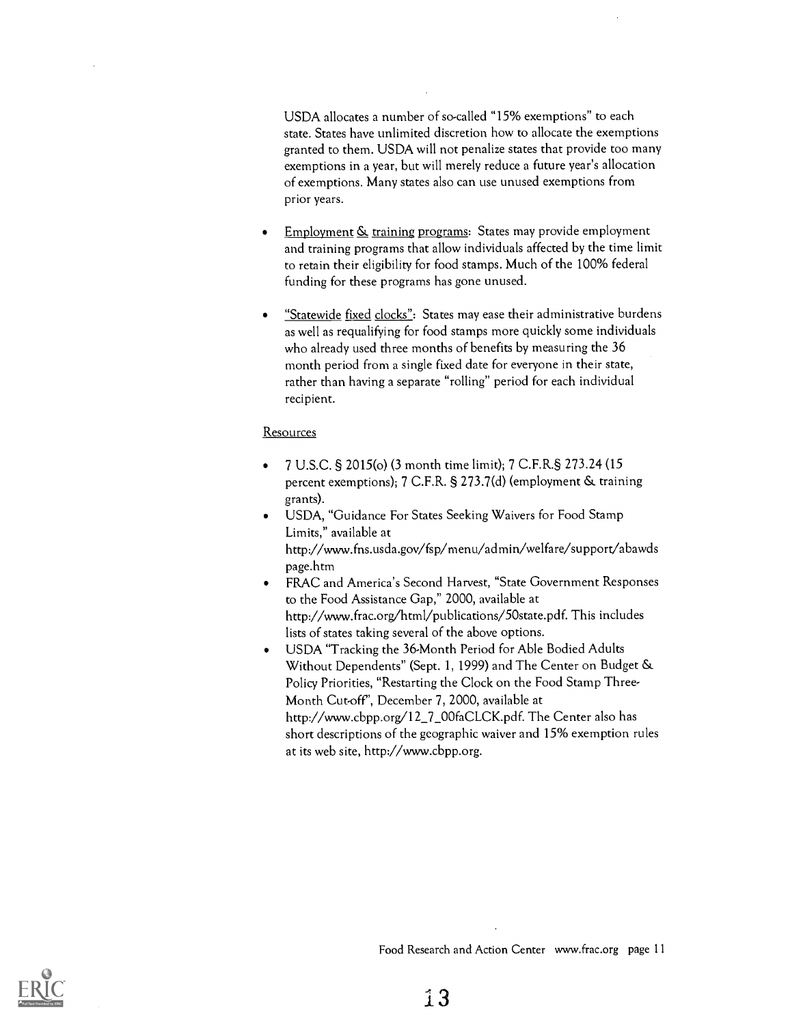USDA allocates a number of so-called "15% exemptions" to each state. States have unlimited discretion how to allocate the exemptions granted to them. USDA will not penalize states that provide too many exemptions in a year, but will merely reduce a future year's allocation of exemptions. Many states also can use unused exemptions from prior years.

- Employment  $\underline{\mathcal{S}}$  training programs: States may provide employment and training programs that allow individuals affected by the time limit to retain their eligibility for food stamps. Much of the 100% federal funding for these programs has gone unused.
- "Statewide fixed clocks": States may ease their administrative burdens as well as requalifying for food stamps more quickly some individuals who already used three months of benefits by measuring the 36 month period from a single fixed date for everyone in their state, rather than having a separate "rolling" period for each individual recipient.

#### **Resources**

- 7 U.S.C. § 2015(o) (3 month time limit); 7 C.F.R.§ 273.24 (15 percent exemptions); 7 C.F.R. § 273.7(d) (employment & training grants).
- USDA, "Guidance For States Seeking Waivers for Food Stamp Limits," available at http://www.fns.usda.gov/fsp/menu/admin/welfare/support/abawds page.htm
- FRAC and America's Second Harvest, "State Government Responses  $\bullet$ to the Food Assistance Gap," 2000, available at http://www.frac.org/html/publications/50state.pdf. This includes lists of states taking several of the above options.
- USDA "Tracking the 36-Month Period for Able Bodied Adults  $\bullet$ Without Dependents" (Sept. 1, 1999) and The Center on Budget & Policy Priorities, "Restarting the Clock on the Food Stamp Three-Month Cut-off", December 7, 2000, available at http://www.cbpp.org/12\_7\_00faCLCK.pdf. The Center also has short descriptions of the geographic waiver and 15% exemption rules at its web site, http://www.cbpp.org.

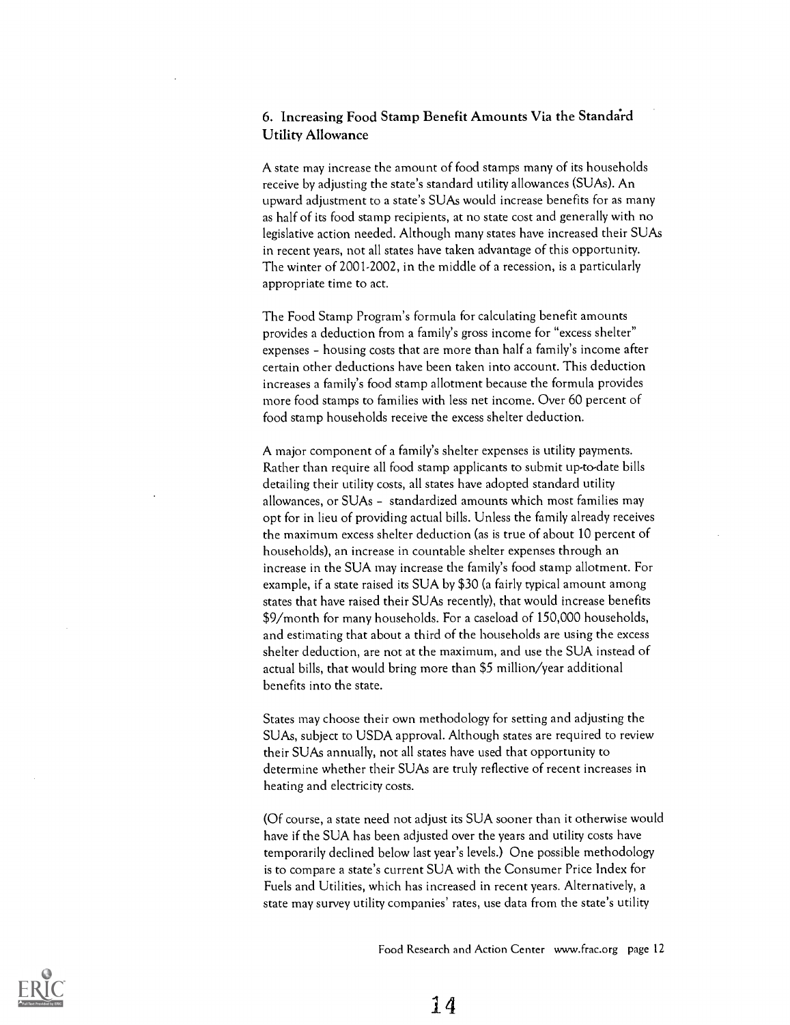#### 6. Increasing Food Stamp Benefit Amounts Via the Standa'rd Utility Allowance

A state may increase the amount of food stamps many of its households receive by adjusting the state's standard utility allowances (SUAs). An upward adjustment to a state's SUAs would increase benefits for as many as half of its food stamp recipients, at no state cost and generally with no legislative action needed. Although many states have increased their SUAs in recent years, not all states have taken advantage of this opportunity. The winter of 2001-2002, in the middle of a recession, is a particularly appropriate time to act.

The Food Stamp Program's formula for calculating benefit amounts provides a deduction from a family's gross income for "excess shelter" expenses - housing costs that are more than half a family's income after certain other deductions have been taken into account. This deduction increases a family's food stamp allotment because the formula provides more food stamps to families with less net income. Over 60 percent of food stamp households receive the excess shelter deduction.

A major component of a family's shelter expenses is utility payments. Rather than require all food stamp applicants to submit up-to-date bills detailing their utility costs, all states have adopted standard utility allowances, or SUAs - standardized amounts which most families may opt for in lieu of providing actual bills. Unless the family already receives the maximum excess shelter deduction (as is true of about 10 percent of households), an increase in countable shelter expenses through an increase in the SUA may increase the family's food stamp allotment. For example, if a state raised its SUA by \$30 (a fairly typical amount among states that have raised their SUAs recently), that would increase benefits \$9/month for many households. For a caseload of 150,000 households, and estimating that about a third of the households are using the excess shelter deduction, are not at the maximum, and use the SUA instead of actual bills, that would bring more than \$5 million/year additional benefits into the state.

States may choose their own methodology for setting and adjusting the SUAs, subject to USDA approval. Although states are required to review their SUAs annually, not all states have used that opportunity to determine whether their SUAs are truly reflective of recent increases in heating and electricity costs.

(Of course, a state need not adjust its SUA sooner than it otherwise would have if the SUA has been adjusted over the years and utility costs have temporarily declined below last year's levels.) One possible methodology is to compare a state's current SUA with the Consumer Price Index for Fuels and Utilities, which has increased in recent years. Alternatively, a state may survey utility companies' rates, use data from the state's utility

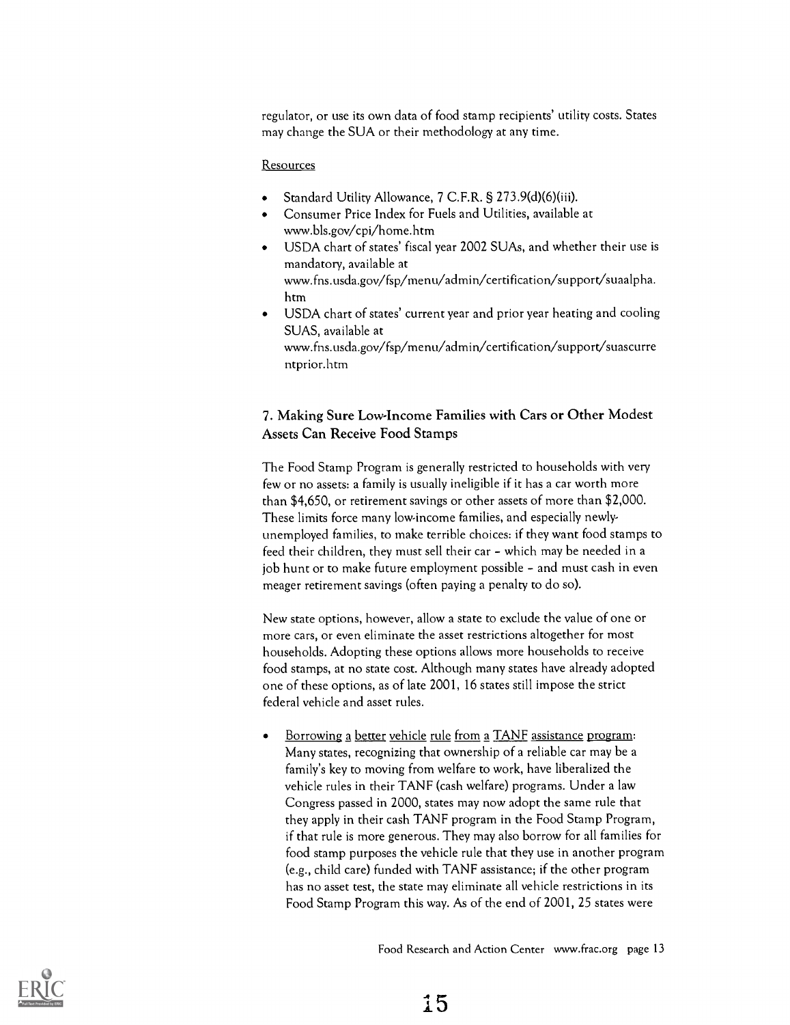regulator, or use its own data of food stamp recipients' utility costs. States may change the SUA or their methodology at any time.

#### Resources

- Standard Utility Allowance, 7 C.F.R. § 273.9(d)(6)(iii).
- Consumer Price Index for Fuels and Utilities, available at www.bls.gov/cpi/home.htm
- USDA chart of states' fiscal year 2002 SUAs, and whether their use is mandatory, available at www.fns.usda.gov/fsp/menu/admin/certification/support/suaalpha. htm
- USDA chart of states' current year and prior year heating and cooling  $\bullet$ SUAS, available at www.fns.usda.gov/fsp/menu/admin/certification/support/suascurre ntprior.htm

#### 7. Making Sure Low-Income Families with Cars or Other Modest Assets Can Receive Food Stamps

The Food Stamp Program is generally restricted to households with very few or no assets: a family is usually ineligible if it has a car worth more than \$4,650, or retirement savings or other assets of more than \$2,000. These limits force many low-income families, and especially newlyunemployed families, to make terrible choices: if they want food stamps to feed their children, they must sell their car - which may be needed in a job hunt or to make future employment possible - and must cash in even meager retirement savings (often paying a penalty to do so).

New state options, however, allow a state to exclude the value of one or more cars, or even eliminate the asset restrictions altogether for most households. Adopting these options allows more households to receive food stamps, at no state cost. Although many states have already adopted one of these options, as of late 2001, 16 states still impose the strict federal vehicle and asset rules.

Borrowing a better vehicle rule from a TANF assistance program: Many states, recognizing that ownership of a reliable car may be a family's key to moving from welfare to work, have liberalized the vehicle rules in their TANF (cash welfare) programs. Under a law Congress passed in 2000, states may now adopt the same rule that they apply in their cash TANF program in the Food Stamp Program, if that rule is more generous. They may also borrow for all families for food stamp purposes the vehicle rule that they use in another program (e.g., child care) funded with TANF assistance; if the other program has no asset test, the state may eliminate all vehicle restrictions in its Food Stamp Program this way. As of the end of 2001, 25 states were

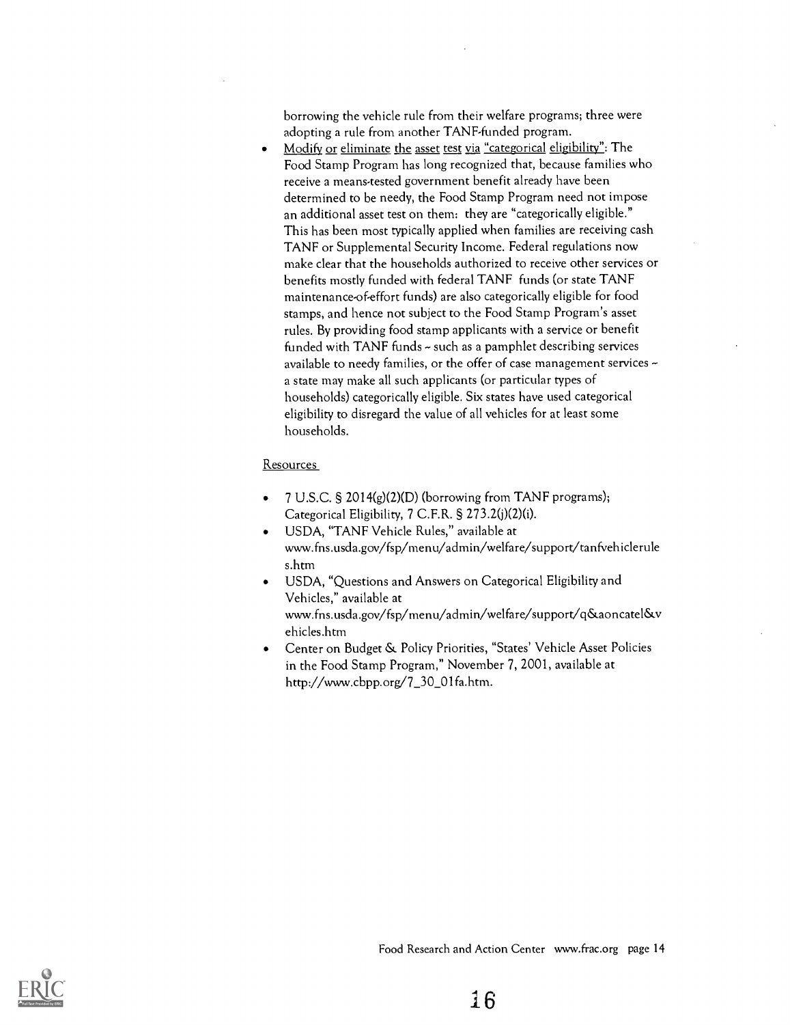borrowing the vehicle rule from their welfare programs; three were adopting a rule from another TANF-funded program.

Modify or eliminate the asset test via "categorical eligibility": The Food Stamp Program has long recognized that, because families who receive a means-tested government benefit already have been determined to be needy, the Food Stamp Program need not impose an additional asset test on them: they are "categorically eligible." This has been most typically applied when families are receiving cash TANF or Supplemental Security Income. Federal regulations now make clear that the households authorized to receive other services or benefits mostly funded with federal TANF funds (or state TANF maintenance-of-effort funds) are also categorically eligible for food stamps, and hence not subject to the Food Stamp Program's asset rules. By providing food stamp applicants with a service or benefit funded with TANF funds - such as a pamphlet describing services available to needy families, or the offer of case management services  $\sim$ a state may make all such applicants (or particular types of households) categorically eligible. Six states have used categorical eligibility to disregard the value of all vehicles for at least some households.

#### **Resources**

- 7 U.S.C. § 2014(g)(2)(D) (borrowing from TANF programs); Categorical Eligibility, 7 C.F.R. § 273.2(j)(2)(i).
- USDA, "TANF Vehicle Rules," available at www.fns.usda.gov/fsp/menu/admin/welfare/support/tanfvehiclerule s.htm
- USDA, "Questions and Answers on Categorical Eligibility and Vehicles," available at www.fns.usda.gov/fsp/menu/admin/welfare/support/q&aoncatel&v ehicles.htm
- Center on Budget & Policy Priorities, "States' Vehicle Asset Policies in the Food Stamp Program," November 7, 2001, available at http://www.cbpp.org/7\_30\_01fa.htm.

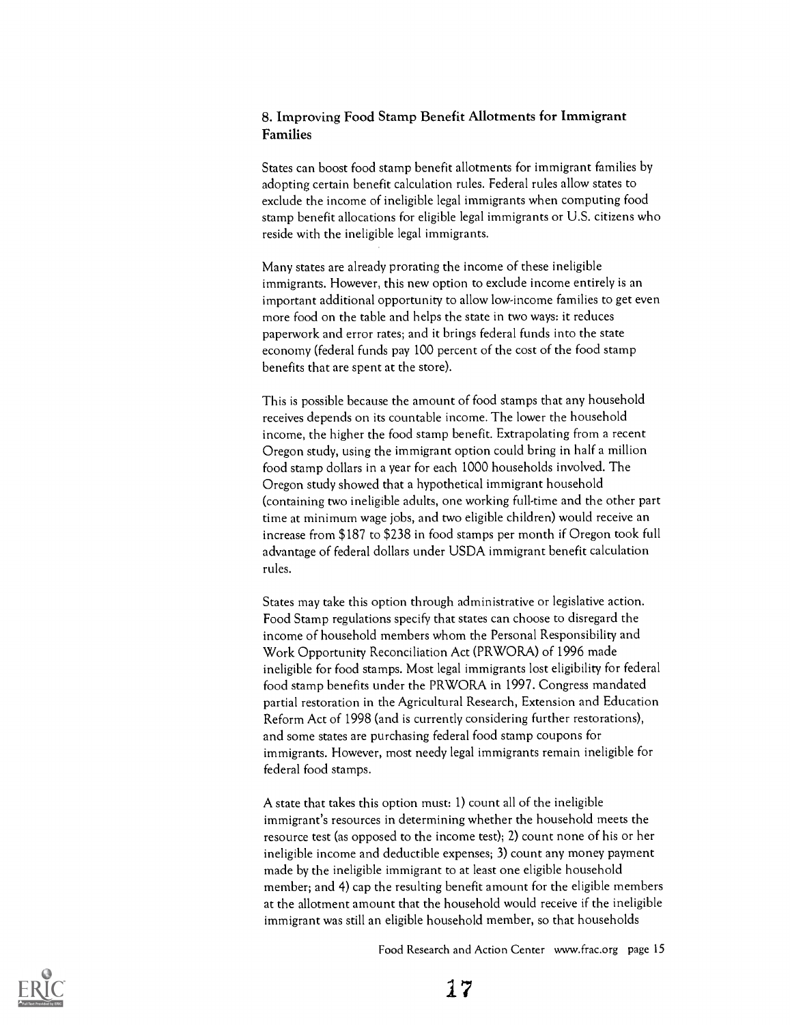#### 8. Improving Food Stamp Benefit Allotments for Immigrant Families

States can boost food stamp benefit allotments for immigrant families by adopting certain benefit calculation rules. Federal rules allow states to exclude the income of ineligible legal immigrants when computing food stamp benefit allocations for eligible legal immigrants or U.S. citizens who reside with the ineligible legal immigrants.

Many states are already prorating the income of these ineligible immigrants. However, this new option to exclude income entirely is an important additional opportunity to allow low-income families to get even more food on the table and helps the state in two ways: it reduces paperwork and error rates; and it brings federal funds into the state economy (federal funds pay 100 percent of the cost of the food stamp benefits that are spent at the store).

This is possible because the amount of food stamps that any household receives depends on its countable income. The lower the household income, the higher the food stamp benefit. Extrapolating from a recent Oregon study, using the immigrant option could bring in half a million food stamp dollars in a year for each 1000 households involved. The Oregon study showed that a hypothetical immigrant household (containing two ineligible adults, one working full-time and the other part time at minimum wage jobs, and two eligible children) would receive an increase from \$187 to \$238 in food stamps per month if Oregon took full advantage of federal dollars under USDA immigrant benefit calculation rules.

States may take this option through administrative or legislative action. Food Stamp regulations specify that states can choose to disregard the income of household members whom the Personal Responsibility and Work Opportunity Reconciliation Act (PRWORA) of 1996 made ineligible for food stamps. Most legal immigrants lost eligibility for federal food stamp benefits under the PRWORA in 1997. Congress mandated partial restoration in the Agricultural Research, Extension and Education Reform Act of 1998 (and is currently considering further restorations), and some states are purchasing federal food stamp coupons for immigrants. However, most needy legal immigrants remain ineligible for federal food stamps.

A state that takes this option must: 1) count all of the ineligible immigrant's resources in determining whether the household meets the resource test (as opposed to the income test); 2) count none of his or her ineligible income and deductible expenses; 3) count any money payment made by the ineligible immigrant to at least one eligible household member; and 4) cap the resulting benefit amount for the eligible members at the allotment amount that the household would receive if the ineligible immigrant was still an eligible household member, so that households

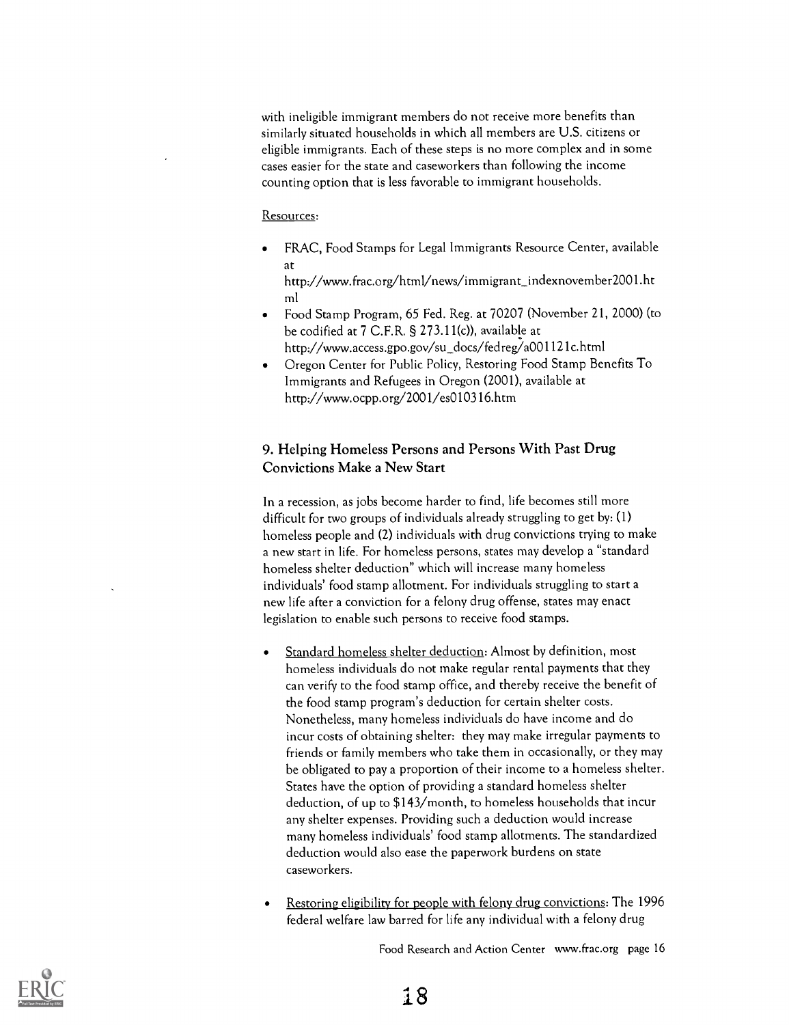with ineligible immigrant members do not receive more benefits than similarly situated households in which all members are U.S. citizens or eligible immigrants. Each of these steps is no more complex and in some cases easier for the state and caseworkers than following the income counting option that is less favorable to immigrant households.

#### Resources:

FRAC, Food Stamps for Legal Immigrants Resource Center, available at

http://www.frac.org/html/news/immigrant\_indexnovember2001.ht ml

- Food Stamp Program, 65 Fed. Reg. at 70207 (November 21, 2000) (to be codified at 7 C.F.R. § 273.11(c)), available at http://www.access.gpo.gov/su\_docs/fedreg/a001121c.html
- Oregon Center for Public Policy, Restoring Food Stamp Benefits To Immigrants and Refugees in Oregon (2001), available at http://www.ocpp.org/2001/es010316.htm

#### 9. Helping Homeless Persons and Persons With Past Drug Convictions Make a New Start

In a recession, as jobs become harder to find, life becomes still more difficult for two groups of individuals already struggling to get by: (1) homeless people and (2) individuals with drug convictions trying to make a new start in life. For homeless persons, states may develop a "standard homeless shelter deduction" which will increase many homeless individuals' food stamp allotment. For individuals struggling to start a new life after a conviction for a felony drug offense, states may enact legislation to enable such persons to receive food stamps.

- Standard homeless shelter deduction: Almost by definition, most homeless individuals do not make regular rental payments that they can verify to the food stamp office, and thereby receive the benefit of the food stamp program's deduction for certain shelter costs. Nonetheless, many homeless individuals do have income and do incur costs of obtaining shelter: they may make irregular payments to friends or family members who take them in occasionally, or they may be obligated to pay a proportion of their income to a homeless shelter. States have the option of providing a standard homeless shelter deduction, of up to \$143/month, to homeless households that incur any shelter expenses. Providing such a deduction would increase many homeless individuals' food stamp allotments. The standardized deduction would also ease the paperwork burdens on state caseworkers.
- Restoring eligibility for people with felony drug convictions: The 1996 federal welfare law barred for life any individual with a felony drug

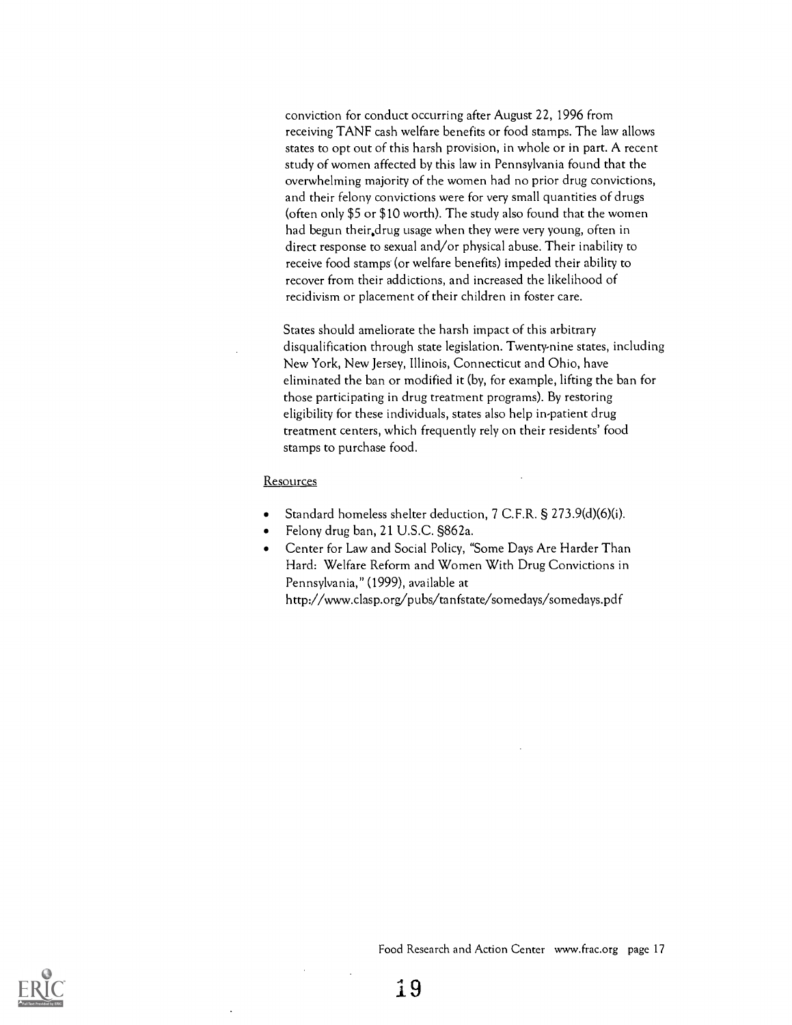conviction for conduct occurring after August 22, 1996 from receiving TANF cash welfare benefits or food stamps. The law allows states to opt out of this harsh provision, in whole or in part. A recent study of women affected by this law in Pennsylvania found that the overwhelming majority of the women had no prior drug convictions, and their felony convictions were for very small quantities of drugs (often only \$5 or \$10 worth). The study also found that the women had begun their.drug usage when they were very young, often in direct response to sexual and/or physical abuse. Their inability to receive food stamps (or welfare benefits) impeded their ability to recover from their addictions, and increased the likelihood of recidivism or placement of their children in foster care.

States should ameliorate the harsh impact of this arbitrary disqualification through state legislation. Twenty-nine states, including New York, New Jersey, Illinois, Connecticut and Ohio, have eliminated the ban or modified it (by, for example, lifting the ban for those participating in drug treatment programs). By restoring eligibility for these individuals, states also help in-patient drug treatment centers, which frequently rely on their residents' food stamps to purchase food.

#### **Resources**

- Standard homeless shelter deduction, 7 C.F.R. § 273.9(d)(6)(i).
- Felony drug ban, 21 U.S.C. §862a.
- Center for Law and Social Policy, "Some Days Are Harder Than  $\bullet$ Hard: Welfare Reform and Women With Drug Convictions in Pennsylvania," (1999), available at

http://www.clasp.org/pubs/tanfstate/somedays/somedays.pdf

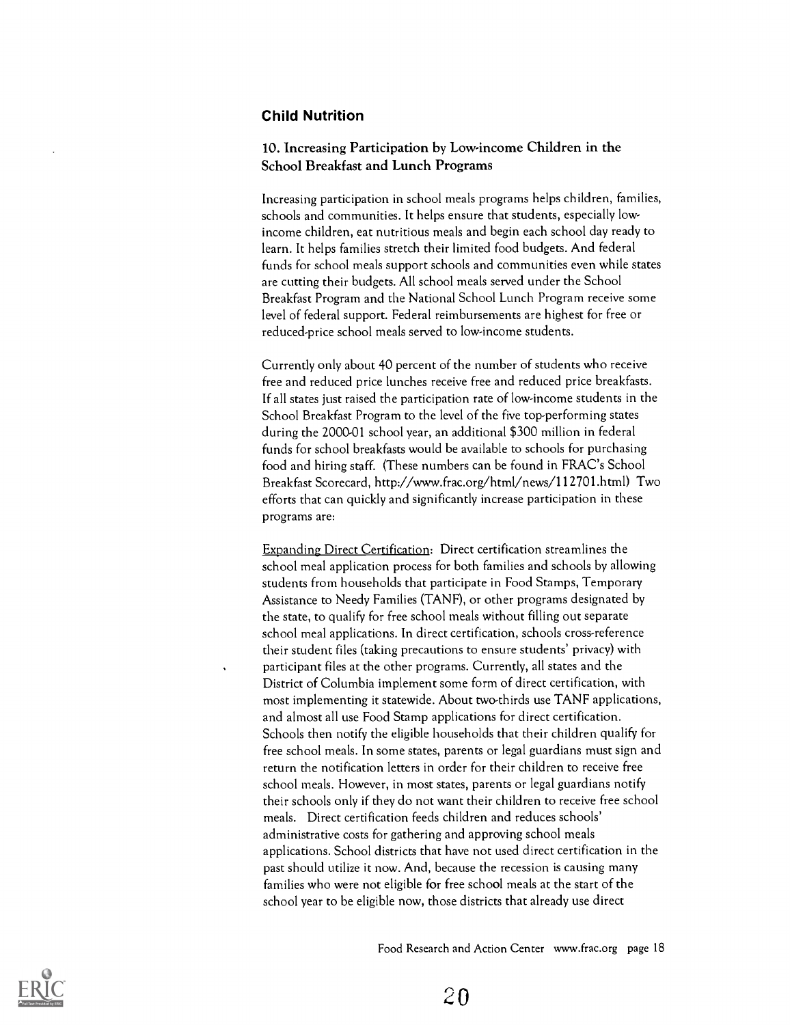#### Child Nutrition

#### 10. Increasing Participation by Low-income Children in the School Breakfast and Lunch Programs

Increasing participation in school meals programs helps children, families, schools and communities. It helps ensure that students, especially lowincome children, eat nutritious meals and begin each school day ready to learn. It helps families stretch their limited food budgets. And federal funds for school meals support schools and communities even while states are cutting their budgets. All school meals served under the School Breakfast Program and the National School Lunch Program receive some level of federal support. Federal reimbursements are highest for free or reduced-price school meals served to low-income students.

Currently only about 40 percent of the number of students who receive free and reduced price lunches receive free and reduced price breakfasts. If all states just raised the participation rate of low-income students in the School Breakfast Program to the level of the five top-performing states during the 2000-01 school year, an additional \$300 million in federal funds for school breakfasts would be available to schools for purchasing food and hiring staff. (These numbers can be found in FRAC's School Breakfast Scorecard, http://www.frac.org/html/news/112701.html) Two efforts that can quickly and significantly increase participation in these programs are:

Expanding Direct Certification: Direct certification streamlines the school meal application process for both families and schools by allowing students from households that participate in Food Stamps, Temporary Assistance to Needy Families (TANF), or other programs designated by the state, to qualify for free school meals without filling out separate school meal applications. In direct certification, schools cross-reference their student files (taking precautions to ensure students' privacy) with participant files at the other programs. Currently, all states and the District of Columbia implement some form of direct certification, with most implementing it statewide. About two-thirds use TANF applications, and almost all use Food Stamp applications for direct certification. Schools then notify the eligible households that their children qualify for free school meals. In some states, parents or legal guardians must sign and return the notification letters in order for their children to receive free school meals. However, in most states, parents or legal guardians notify their schools only if they do not want their children to receive free school meals. Direct certification feeds children and reduces schools' administrative costs for gathering and approving school meals applications. School districts that have not used direct certification in the past should utilize it now. And, because the recession is causing many families who were not eligible for free school meals at the start of the school year to be eligible now, those districts that already use direct



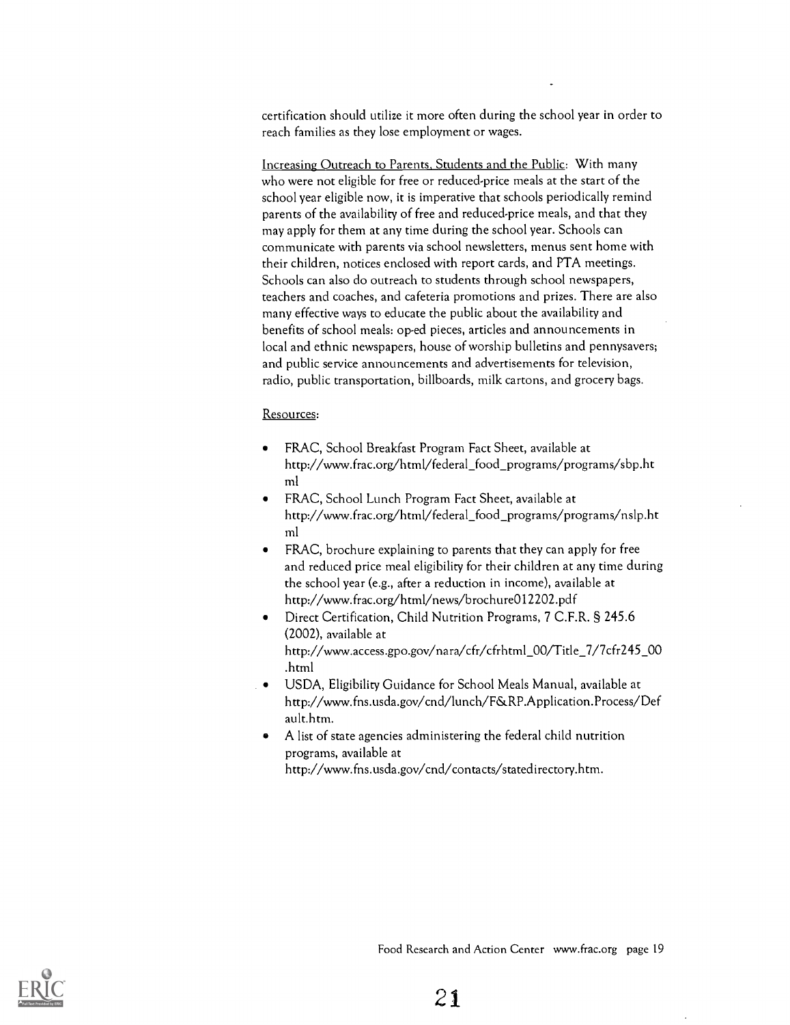certification should utilize it more often during the school year in order to reach families as they lose employment or wages.

Increasing Outreach to Parents, Students and the Public: With many who were not eligible for free or reduced-price meals at the start of the school year eligible now, it is imperative that schools periodically remind parents of the availability of free and reduced-price meals, and that they may apply for them at any time during the school year. Schools can communicate with parents via school newsletters, menus sent home with their children, notices enclosed with report cards, and PTA meetings. Schools can also do outreach to students through school newspapers, teachers and coaches, and cafeteria promotions and prizes. There are also many effective ways to educate the public about the availability and benefits of school meals: op-ed pieces, articles and announcements in local and ethnic newspapers, house of worship bulletins and pennysavers; and public service announcements and advertisements for television, radio, public transportation, billboards, milk cartons, and grocery bags.

#### Resources:

- FRAC, School Breakfast Program Fact Sheet, available at http://www.frac.org/html/federal\_food\_programs/programs/sbp.ht ml
- FRAC, School Lunch Program Fact Sheet, available at http://www.frac.org/html/federal\_food\_programs/programs/nslp.ht ml
- FRAC, brochure explaining to parents that they can apply for free and reduced price meal eligibility for their children at any time during the school year (e.g., after a reduction in income), available at http://www.frac.org/html/news/brochure012202.pdf
- Direct Certification, Child Nutrition Programs, 7 C.F.R. § 245.6 (2002), available at http://www.access.gpo.gov/nara/cfr/cfrhtml\_00/Title\_7/7cfr245\_00 .html
- USDA, Eligibility Guidance for School Meals Manual, available at http://www.fns.usda.gov/cnd/lunch/F&RP.Application.Process/Def ault.htm.
- A list of state agencies administering the federal child nutrition programs, available at http://www.fns.usda.gov/cnd/contacts/statedirectory.htm.

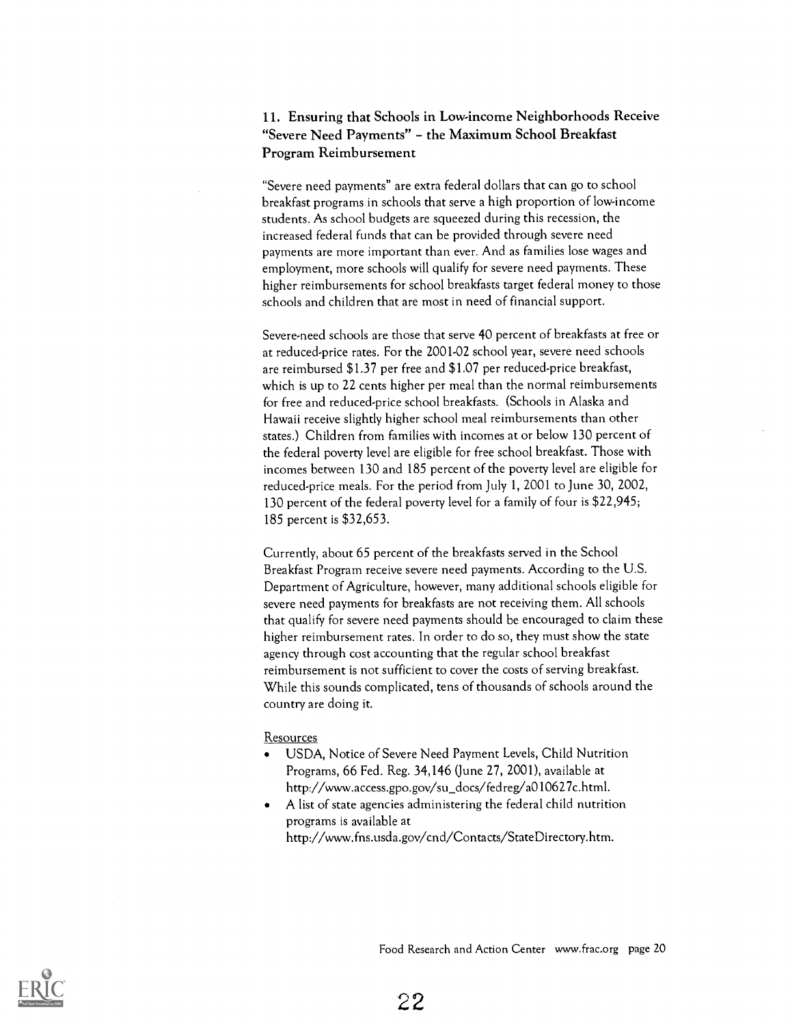#### 11. Ensuring that Schools in Low-income Neighborhoods Receive "Severe Need Payments" - the Maximum School Breakfast Program Reimbursement

"Severe need payments" are extra federal dollars that can go to school breakfast programs in schools that serve a high proportion of low-income students. As school budgets are squeezed during this recession, the increased federal funds that can be provided through severe need payments are more important than ever. And as families lose wages and employment, more schools will qualify for severe need payments. These higher reimbursements for school breakfasts target federal money to those schools and children that are most in need of financial support.

Severe-need schools are those that serve 40 percent of breakfasts at free or at reduced-price rates. For the 2001-02 school year, severe need schools are reimbursed \$1.37 per free and \$1.07 per reduced-price breakfast, which is up to 22 cents higher per meal than the normal reimbursements for free and reduced-price school breakfasts. (Schools in Alaska and Hawaii receive slightly higher school meal reimbursements than other states.) Children from families with incomes at or below 130 percent of the federal poverty level are eligible for free school breakfast. Those with incomes between 130 and 185 percent of the poverty level are eligible for reduced-price meals. For the period from July 1, 2001 to June 30, 2002, 130 percent of the federal poverty level for a family of four is \$22,945; 185 percent is \$32,653.

Currently, about 65 percent of the breakfasts served in the School Breakfast Program receive severe need payments. According to the U.S. Department of Agriculture, however, many additional schools eligible for severe need payments for breakfasts are not receiving them. All schools that qualify for severe need payments should be encouraged to claim these higher reimbursement rates. In order to do so, they must show the state agency through cost accounting that the regular school breakfast reimbursement is not sufficient to cover the costs of serving breakfast. While this sounds complicated, tens of thousands of schools around the country are doing it.

#### Resources

- USDA, Notice of Severe Need Payment Levels, Child Nutrition Programs, 66 Fed, Reg. 34,146 (June 27, 2001), available at http://www.access.gpo.gov/su\_docs/fedreg/a010627c.html.
- A list of state agencies administering the federal child nutrition programs is available at http://www.fns.usda.gov/cnd/Contacts/StateDirectory.htm.

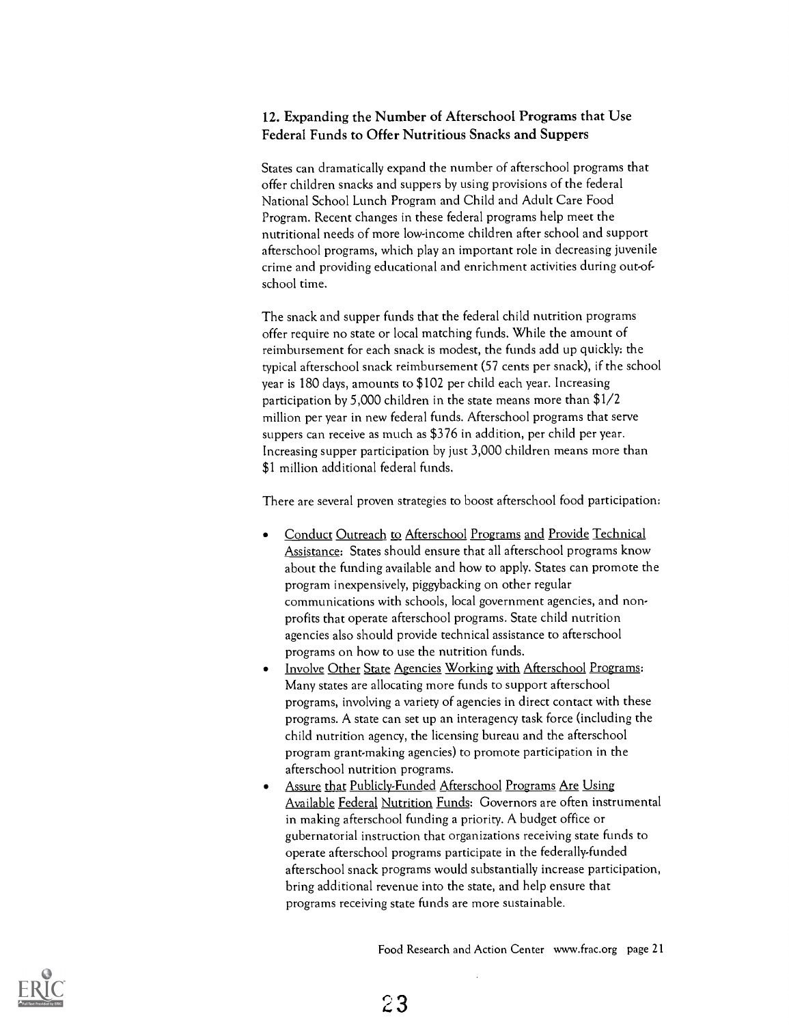#### 12. Expanding the Number of Afterschool Programs that Use Federal Funds to Offer Nutritious Snacks and Suppers

States can dramatically expand the number of afterschool programs that offer children snacks and suppers by using provisions of the federal National School Lunch Program and Child and Adult Care Food Program. Recent changes in these federal programs help meet the nutritional needs of more low-income children after school and support afterschool programs, which play an important role in decreasing juvenile crime and providing educational and enrichment activities during out-ofschool time.

The snack and supper funds that the federal child nutrition programs offer require no state or local matching funds. While the amount of reimbursement for each snack is modest, the funds add up quickly: the typical afterschool snack reimbursement (57 cents per snack), if the school year is 180 days, amounts to \$102 per child each year. Increasing participation by 5,000 children in the state means more than \$1/2 million per year in new federal funds. Afterschool programs that serve suppers can receive as much as \$376 in addition, per child per year. Increasing supper participation by just 3,000 children means more than \$1 million additional federal funds.

There are several proven strategies to boost afterschool food participation:

- Conduct Outreach to Afterschool Programs and Provide Technical Assistance: States should ensure that all afterschool programs know about the funding available and how to apply. States can promote the program inexpensively, piggybacking on other regular communications with schools, local government agencies, and nonprofits that operate afterschool programs. State child nutrition agencies also should provide technical assistance to afterschool programs on how to use the nutrition funds.
- Involve Other State Agencies Working with Afterschool Programs: Many states are allocating more funds to support afterschool programs, involving a variety of agencies in direct contact with these programs. A state can set up an interagency task force (including the child nutrition agency, the licensing bureau and the afterschool program grant-making agencies) to promote participation in the afterschool nutrition programs.
- Assure that Publicly-Funded Afterschool Programs Are Using Available Federal Nutrition Funds: Governors are often instrumental in making afterschool funding a priority. A budget office or gubernatorial instruction that organizations receiving state funds to operate afterschool programs participate in the federally-funded afterschool snack programs would substantially increase participation, bring additional revenue into the state, and help ensure that programs receiving state funds are more sustainable.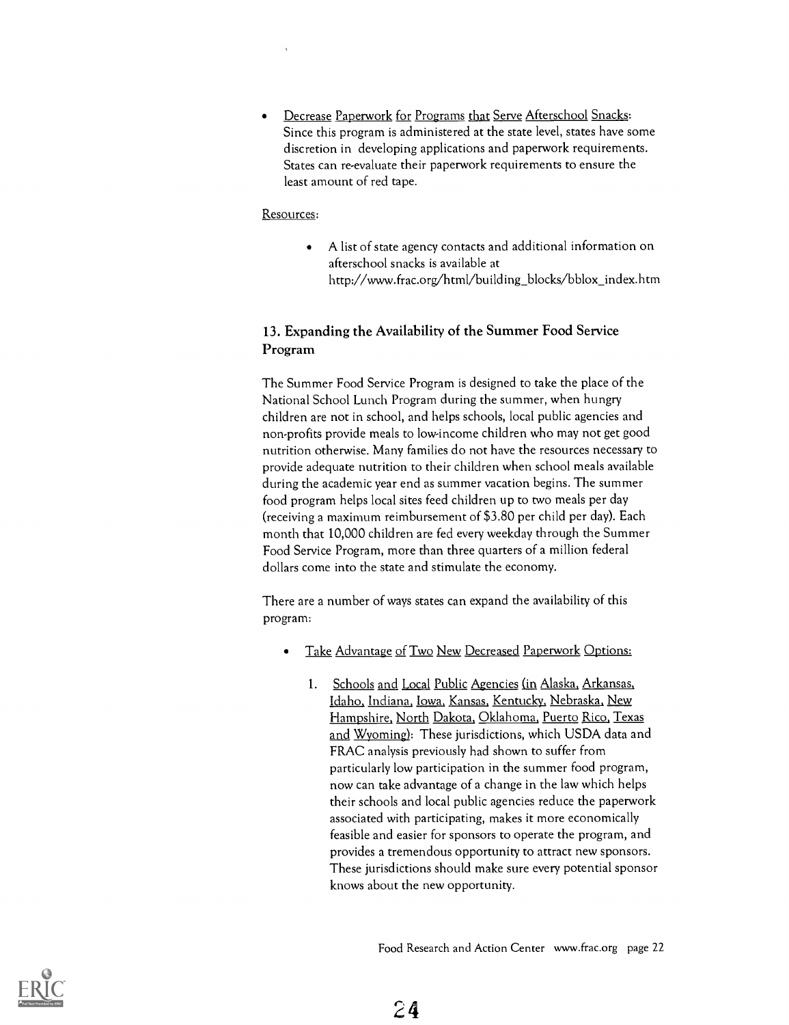Decrease Paperwork for Programs that Serve Afterschool Snacks: Since this program is administered at the state level, states have some discretion in developing applications and paperwork requirements. States can re-evaluate their paperwork requirements to ensure the least amount of red tape.

#### Resources:

A list of state agency contacts and additional information on  $\bullet$ afterschool snacks is available at http://www.frac.org/html/building\_blocks/bblox\_index.htm

#### 13. Expanding the Availability of the Summer Food Service Program

The Summer Food Service Program is designed to take the place of the National School Lunch Program during the summer, when hungry children are not in school, and helps schools, local public agencies and non-profits provide meals to low-income children who may not get good nutrition otherwise. Many families do not have the resources necessary to provide adequate nutrition to their children when school meals available during the academic year end as summer vacation begins. The summer food program helps local sites feed children up to two meals per day (receiving a maximum reimbursement of \$3.80 per child per day). Each month that 10,000 children are fed every weekday through the Summer Food Service Program, more than three quarters of a million federal dollars come into the state and stimulate the economy.

There are a number of ways states can expand the availability of this program:

- Take Advantage of Two New Decreased Paperwork Options:  $\bullet$ 
	- 1. Schools and Local Public Agencies (in Alaska, Arkansas, Idaho, Indiana, Iowa, Kansas, Kentucky, Nebraska, New Hampshire, North Dakota, Oklahoma, Puerto Rico, Texas and Wyoming): These jurisdictions, which USDA data and FRAC analysis previously had shown to suffer from particularly low participation in the summer food program, now can take advantage of a change in the law which helps their schools and local public agencies reduce the paperwork associated with participating, makes it more economically feasible and easier for sponsors to operate the program, and provides a tremendous opportunity to attract new sponsors. These jurisdictions should make sure every potential sponsor knows about the new opportunity.

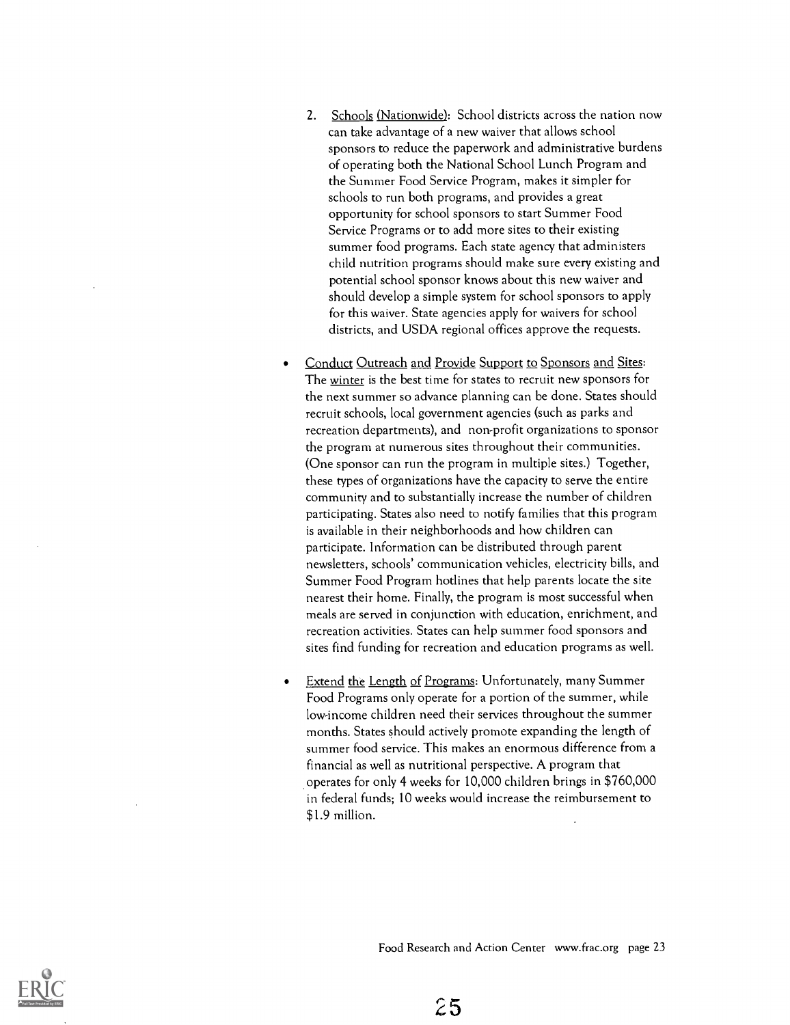- 2. Schools (Nationwide): School districts across the nation now can take advantage of a new waiver that allows school sponsors to reduce the paperwork and administrative burdens of operating both the National School Lunch Program and the Summer Food Service Program, makes it simpler for schools to run both programs, and provides a great opportunity for school sponsors to start Summer Food Service Programs or to add more sites to their existing summer food programs. Each state agency that administers child nutrition programs should make sure every existing and potential school sponsor knows about this new waiver and should develop a simple system for school sponsors to apply for this waiver. State agencies apply for waivers for school districts, and USDA regional offices approve the requests.
- Conduct Outreach and Provide Support to Sponsors and Sites:  $\bullet$ The winter is the best time for states to recruit new sponsors for the next summer so advance planning can be done. States should recruit schools, local government agencies (such as parks and recreation departments), and non-profit organizations to sponsor the program at numerous sites throughout their communities. (One sponsor can run the program in multiple sites.) Together, these types of organizations have the capacity to serve the entire community and to substantially increase the number of children participating. States also need to notify families that this program is available in their neighborhoods and how children can participate. Information can be distributed through parent newsletters, schools' communication vehicles, electricity bills, and Summer Food Program hotlines that help parents locate the site nearest their home. Finally, the program is most successful when meals are served in conjunction with education, enrichment, and recreation activities. States can help summer food sponsors and sites find funding for recreation and education programs as well.
- Extend the Length of Programs: Unfortunately, many Summer Food Programs only operate for a portion of the summer, while low-income children need their services throughout the summer months. States should actively promote expanding the length of summer food service. This makes an enormous difference from a financial as well as nutritional perspective. A program that operates for only 4 weeks for 10,000 children brings in \$760,000 in federal funds; 10 weeks would increase the reimbursement to \$1.9 million.

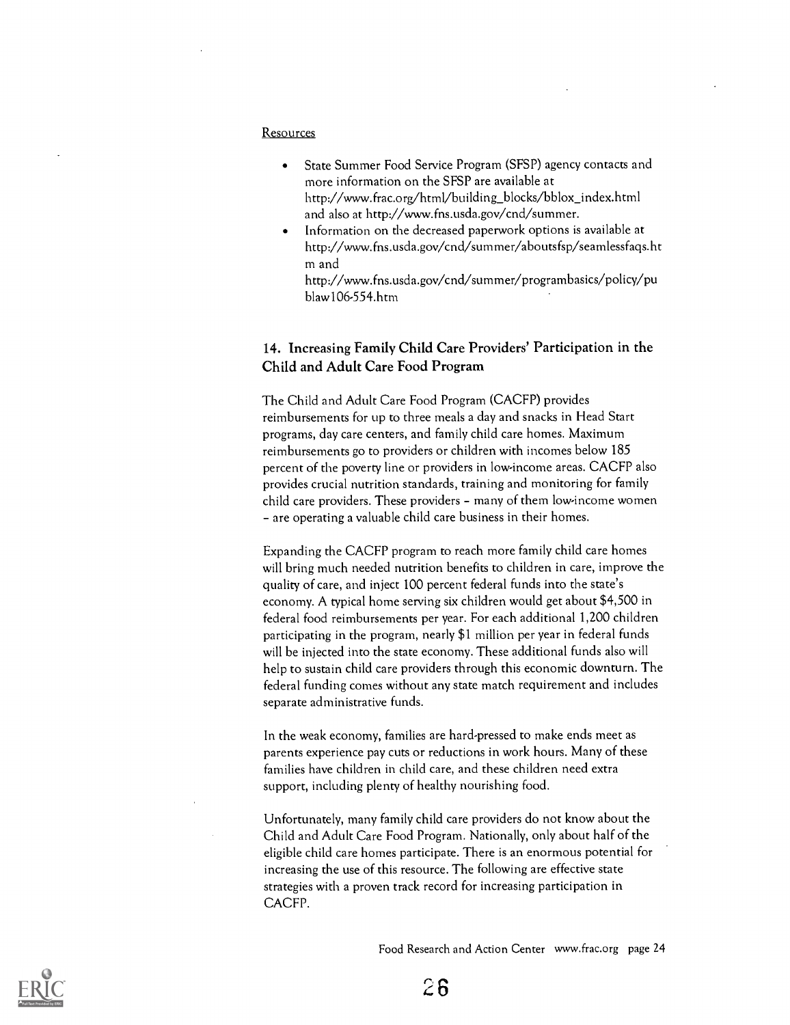#### Resources

- State Summer Food Service Program (SFSP) agency contacts and more information on the SFSP are available at http://www.frac.org/html/building\_blocks/bblox\_index.html and also at http://www.fns.usda.gov/cnd/summer.
- Information on the decreased paperwork options is available at http://www.fns.usda.gov/cnd/summer/aboutsfsp/seamlessfaqs.ht m and

http://www.fns.usda.gov/cnd/surnmer/programbasics/policy/pu blaw106-554.htm

#### 14. Increasing Family Child Care Providers' Participation in the Child and Adult Care Food Program

The Child and Adult Care Food Program (CACFP) provides reimbursements for up to three meals a day and snacks in Head Start programs, day care centers, and family child care homes. Maximum reimbursements go to providers or children with incomes below 185 percent of the poverty line or providers in low-income areas. CACFP also provides crucial nutrition standards, training and monitoring for family child care providers. These providers - many of them low-income women - are operating a valuable child care business in their homes.

Expanding the CACFP program to reach more family child care homes will bring much needed nutrition benefits to children in care, improve the quality of care, and inject 100 percent federal funds into the state's economy. A typical home serving six children would get about \$4,500 in federal food reimbursements per year. For each additional 1,200 children participating in the program, nearly \$1 million per year in federal funds will be injected into the state economy. These additional funds also will help to sustain child care providers through this economic downturn. The federal funding comes without any state match requirement and includes separate administrative funds.

In the weak economy, families are hard-pressed to make ends meet as parents experience pay cuts or reductions in work hours. Many of these families have children in child care, and these children need extra support, including plenty of healthy nourishing food.

Unfortunately, many family child care providers do not know about the Child and Adult Care Food Program. Nationally, only about half of the eligible child care homes participate. There is an enormous potential for increasing the use of this resource. The following are effective state strategies with a proven track record for increasing participation in CACFP.

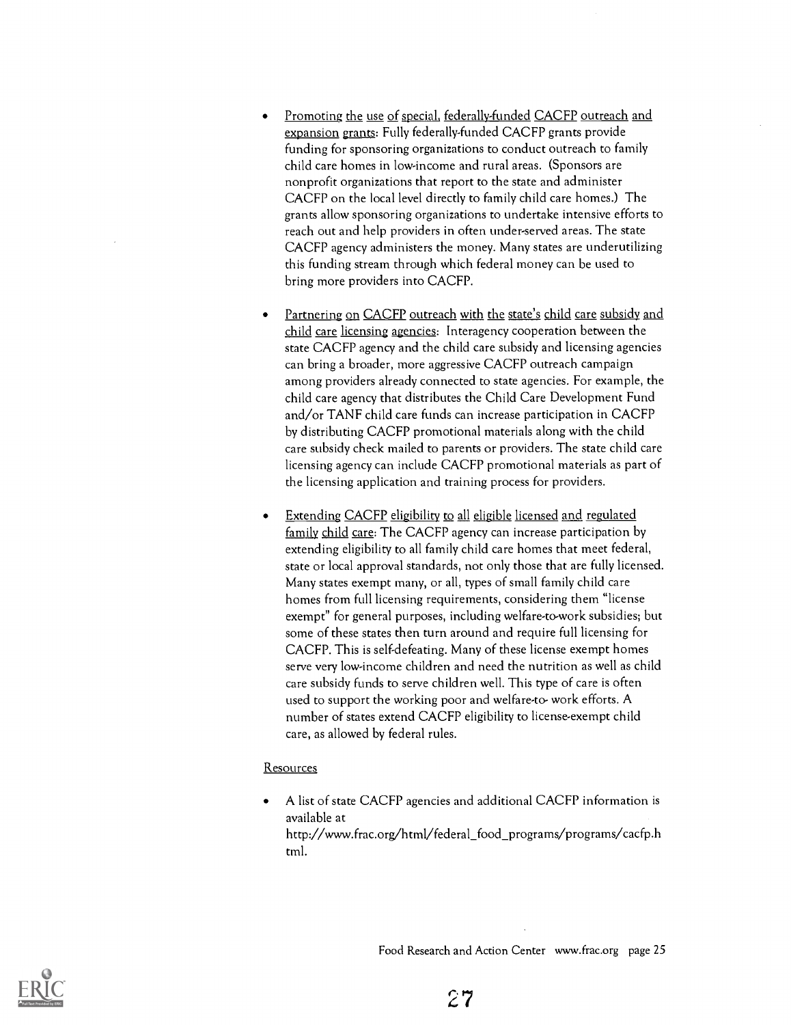- Promoting the use of special, federally-funded CACFP outreach and expansion grants: Fully federally-funded CACFP grants provide funding for sponsoring organizations to conduct outreach to family child care homes in low-income and rural areas. (Sponsors are nonprofit organizations that report to the state and administer CACFP on the local level directly to family child care homes.) The grants allow sponsoring organizations to undertake intensive efforts to reach out and help providers in often under-served areas. The state CACFP agency administers the money. Many states are underutilizing this funding stream through which federal money can be used to bring more providers into CACFP.
- Partnering on CACFP outreach with the state's child care subsidy and child care licensing agencies: Interagency cooperation between the state CACFP agency and the child care subsidy and licensing agencies can bring a broader, more aggressive CACFP outreach campaign among providers already connected to state agencies. For example, the child care agency that distributes the Child Care Development Fund and/or TANF child care funds can increase participation in CACFP by distributing CACFP promotional materials along with the child care subsidy check mailed to parents or providers. The state child care licensing agency can include CACFP promotional materials as part of the licensing application and training process for providers.
- Extending CACFP eligibility to all eligible licensed and regulated family child care: The CACFP agency can increase participation by extending eligibility to all family child care homes that meet federal, state or local approval standards, not only those that are fully licensed. Many states exempt many, or all, types of small family child care homes from full licensing requirements, considering them "license exempt" for general purposes, including welfare-to-work subsidies; but some of these states then turn around and require full licensing for CACFP. This is self-defeating. Many of these license exempt homes serve very low-income children and need the nutrition as well as child care subsidy funds to serve children well. This type of care is often used to support the working poor and welfare-to- work efforts. A number of states extend CACFP eligibility to license-exempt child care, as allowed by federal rules.

#### Resources

A list of state CACFP agencies and additional CACFP information is available at http://www.frac.org/html/federal\_food\_programs/programs/cacfp.h tml.

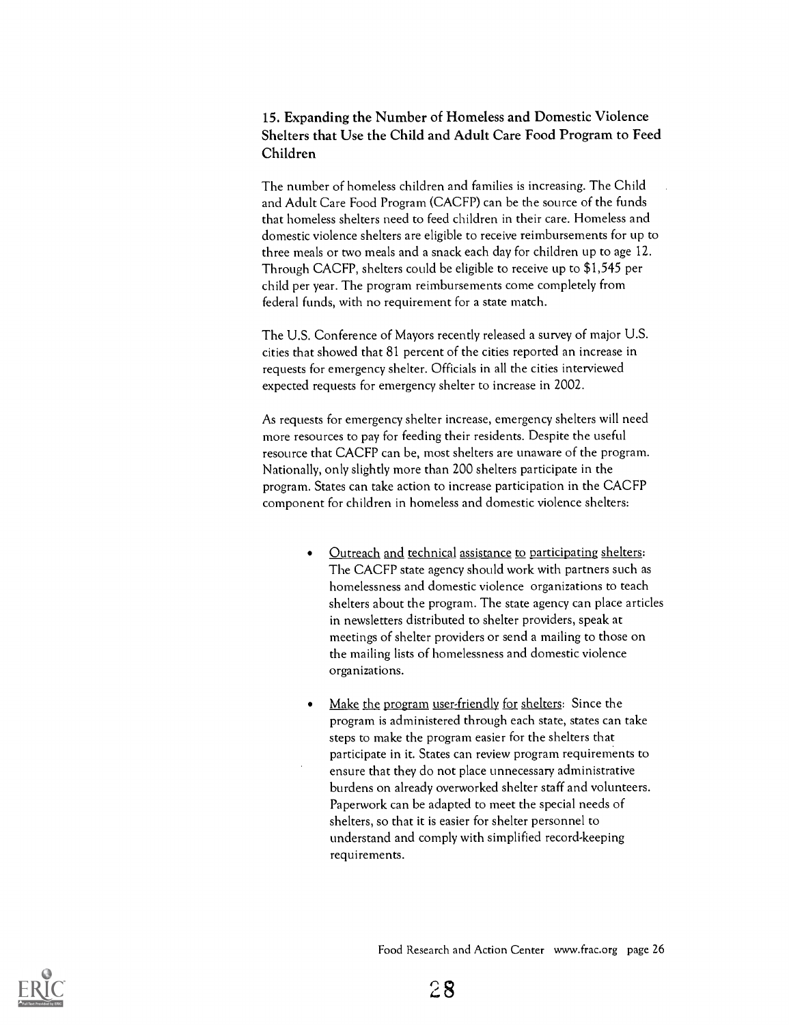#### 15. Expanding the Number of Homeless and Domestic Violence Shelters that Use the Child and Adult Care Food Program to Feed Children

The number of homeless children and families is increasing. The Child and Adult Care Food Program (CACFP) can be the source of the funds that homeless shelters need to feed children in their care. Homeless and domestic violence shelters are eligible to receive reimbursements for up to three meals or two meals and a snack each day for children up to age 12. Through CACFP, shelters could be eligible to receive up to \$1,545 per child per year. The program reimbursements come completely from federal funds, with no requirement for a state match.

The U.S. Conference of Mayors recently released a survey of major U.S. cities that showed that 81 percent of the cities reported an increase in requests for emergency shelter. Officials in all the cities interviewed expected requests for emergency shelter to increase in 2002.

As requests for emergency shelter increase, emergency shelters will need more resources to pay for feeding their residents. Despite the useful resource that CACFP can be, most shelters are unaware of the program. Nationally, only slightly more than 200 shelters participate in the program. States can take action to increase participation in the CACFP component for children in homeless and domestic violence shelters:

- Outreach and technical assistance to participating shelters:  $\bullet$ The CACFP state agency should work with partners such as homelessness and domestic violence organizations to teach shelters about the program. The state agency can place articles in newsletters distributed to shelter providers, speak at meetings of shelter providers or send a mailing to those on the mailing lists of homelessness and domestic violence organizations.
- Make the program user-friendly for shelters: Since the program is administered through each state, states can take steps to make the program easier for the shelters that participate in it. States can review program requirements to ensure that they do not place unnecessary administrative burdens on already overworked shelter staff and volunteers. Paperwork can be adapted to meet the special needs of shelters, so that it is easier for shelter personnel to understand and comply with simplified record-keeping requirements.

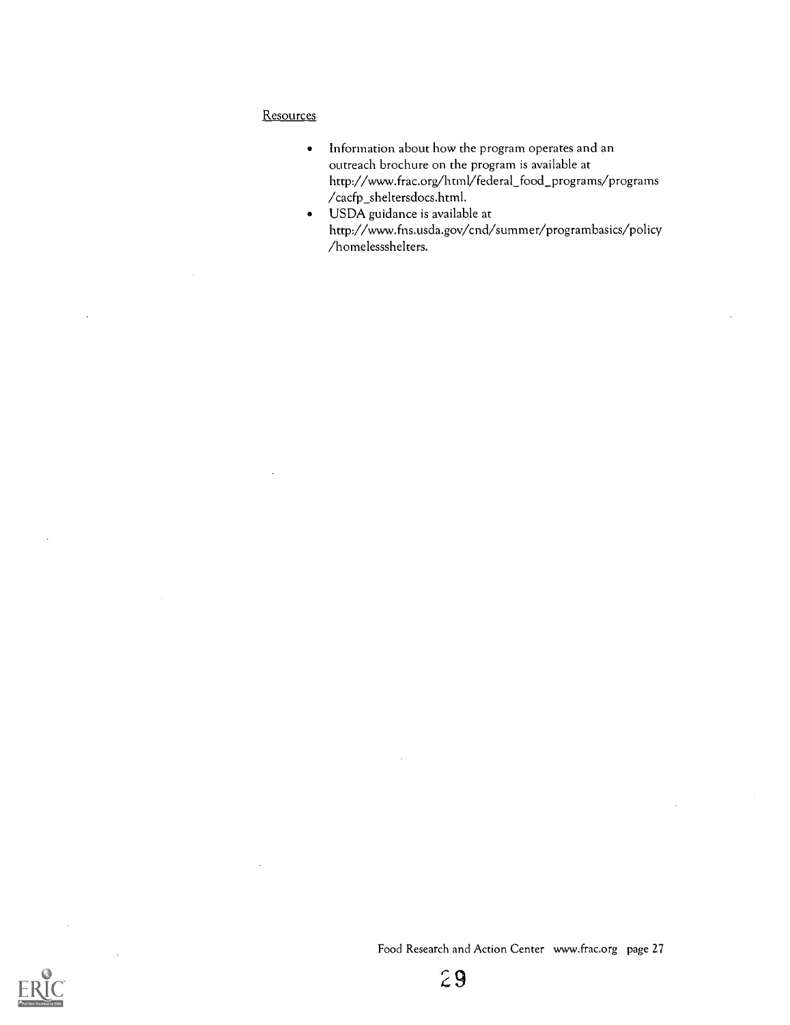#### **Resources**

- Information about how the program operates and an  $\bullet$ outreach brochure on the program is available at http://www.frac.org/html/federal\_food\_programs/programs  $/$ cacfp\_sheltersdocs.html.
- USDA guidance is available at http://www.fns.usda.gov/cnd/summer/programbasics/policy /homelessshelters.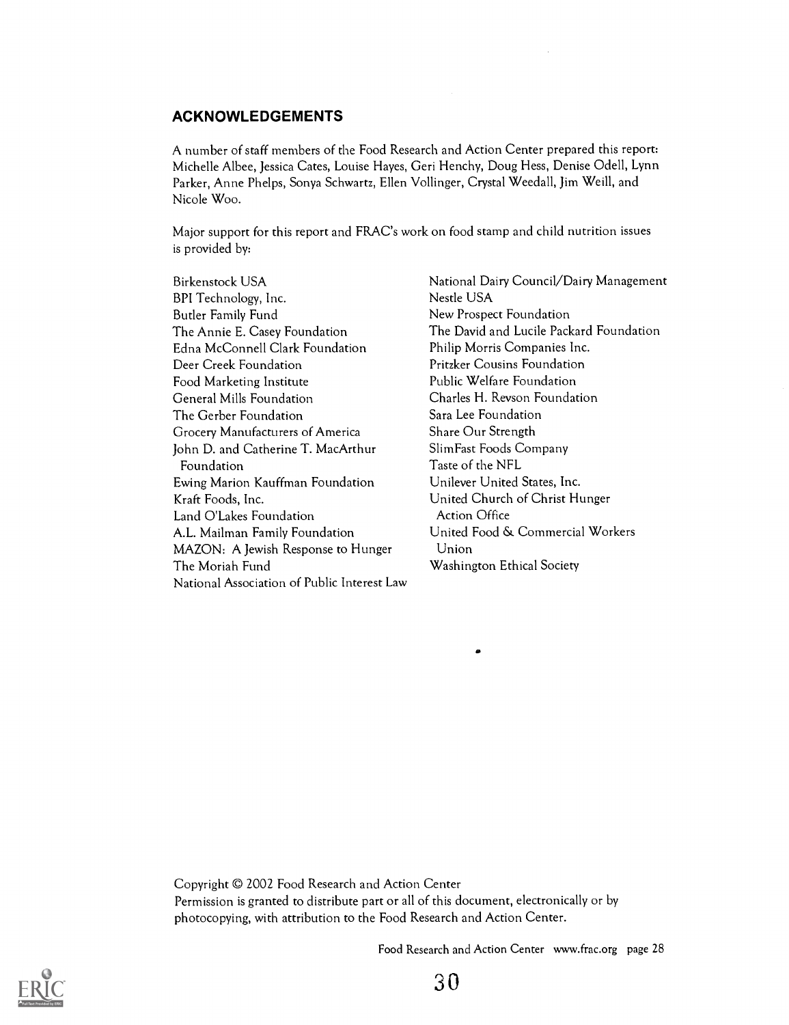#### ACKNOWLEDGEMENTS

A number of staff members of the Food Research and Action Center prepared this report: Michelle Albee, Jessica Cates, Louise Hayes, Geri Henchy, Doug Hess, Denise Odell, Lynn Parker, Anne Phelps, Sonya Schwartz, Ellen Vollinger, Crystal Weedall, Jim Weill, and Nicole Woo.

Major support for this report and FRAC's work on food stamp and child nutrition issues is provided by:

Birkenstock USA BPI Technology, Inc. Butler Family Fund The Annie E. Casey Foundation Edna McConnell Clark Foundation Deer Creek Foundation Food Marketing Institute General Mills Foundation The Gerber Foundation Grocery Manufacturers of America John D. and Catherine T. MacArthur Foundation Ewing Marion Kauffman Foundation Kraft Foods, Inc. Land O'Lakes Foundation A.L. Mailman Family Foundation MAZON: A Jewish Response to Hunger The Moriah Fund National Association of Public Interest Law

National Dairy Council/Dairy Management Nestle USA New Prospect Foundation The David and Lucile Packard Foundation Philip Morris Companies Inc. Pritzker Cousins Foundation Public Welfare Foundation Charles H. Revson Foundation Sara Lee Foundation Share Our Strength Slim Fast Foods Company Taste of the NFL Unilever United States, Inc. United Church of Christ Hunger Action Office United Food & Commercial Workers Union Washington Ethical Society

Copyright 2002 Food Research and Action Center Permission is granted to distribute part or all of this document, electronically or by photocopying, with attribution to the Food Research and Action Center.